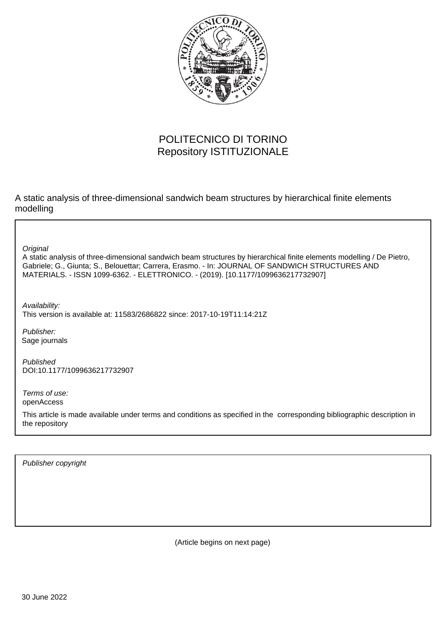

# POLITECNICO DI TORINO Repository ISTITUZIONALE

A static analysis of three-dimensional sandwich beam structures by hierarchical finite elements modelling

**Original** 

A static analysis of three-dimensional sandwich beam structures by hierarchical finite elements modelling / De Pietro, Gabriele; G., Giunta; S., Belouettar; Carrera, Erasmo. - In: JOURNAL OF SANDWICH STRUCTURES AND MATERIALS. - ISSN 1099-6362. - ELETTRONICO. - (2019). [10.1177/1099636217732907]

Availability: This version is available at: 11583/2686822 since: 2017-10-19T11:14:21Z

Publisher: Sage journals

Published DOI:10.1177/1099636217732907

Terms of use: openAccess

This article is made available under terms and conditions as specified in the corresponding bibliographic description in the repository

Publisher copyright

(Article begins on next page)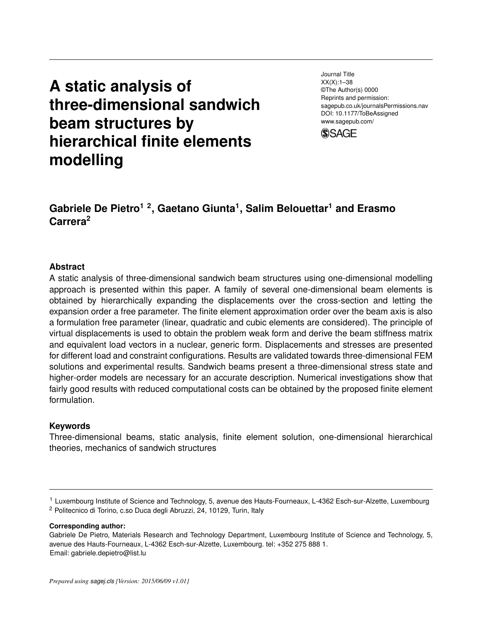# **A static analysis of three-dimensional sandwich beam structures by hierarchical finite elements modelling**

Journal Title XX(X):1–38 ©The Author(s) 0000 Reprints and permission: sagepub.co.uk/journalsPermissions.nav DOI: 10.1177/ToBeAssigned www.sagepub.com/



# **Gabriele De Pietro1 2, Gaetano Giunta<sup>1</sup> , Salim Belouettar<sup>1</sup> and Erasmo Carrera<sup>2</sup>**

#### **Abstract**

A static analysis of three-dimensional sandwich beam structures using one-dimensional modelling approach is presented within this paper. A family of several one-dimensional beam elements is obtained by hierarchically expanding the displacements over the cross-section and letting the expansion order a free parameter. The finite element approximation order over the beam axis is also a formulation free parameter (linear, quadratic and cubic elements are considered). The principle of virtual displacements is used to obtain the problem weak form and derive the beam stiffness matrix and equivalent load vectors in a nuclear, generic form. Displacements and stresses are presented for different load and constraint configurations. Results are validated towards three-dimensional FEM solutions and experimental results. Sandwich beams present a three-dimensional stress state and higher-order models are necessary for an accurate description. Numerical investigations show that fairly good results with reduced computational costs can be obtained by the proposed finite element formulation.

#### **Keywords**

Three-dimensional beams, static analysis, finite element solution, one-dimensional hierarchical theories, mechanics of sandwich structures

**Corresponding author:**

<sup>1</sup> Luxembourg Institute of Science and Technology, 5, avenue des Hauts-Fourneaux, L-4362 Esch-sur-Alzette, Luxembourg <sup>2</sup> Politecnico di Torino, c.so Duca degli Abruzzi, 24, 10129, Turin, Italy

Gabriele De Pietro, Materials Research and Technology Department, Luxembourg Institute of Science and Technology, 5, avenue des Hauts-Fourneaux, L-4362 Esch-sur-Alzette, Luxembourg. tel: +352 275 888 1. Email: gabriele.depietro@list.lu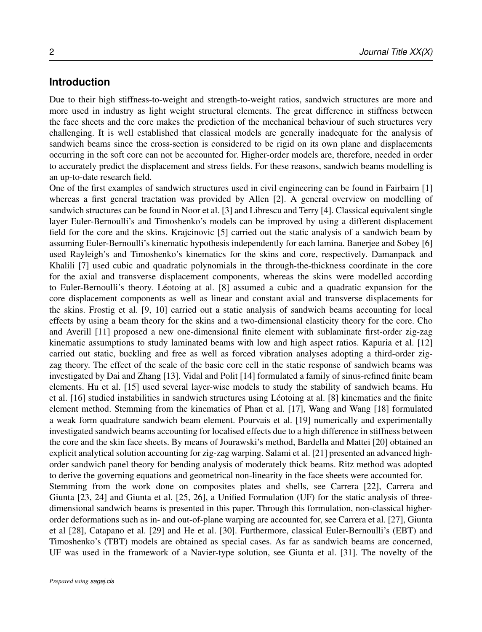### **Introduction**

Due to their high stiffness-to-weight and strength-to-weight ratios, sandwich structures are more and more used in industry as light weight structural elements. The great difference in stiffness between the face sheets and the core makes the prediction of the mechanical behaviour of such structures very challenging. It is well established that classical models are generally inadequate for the analysis of sandwich beams since the cross-section is considered to be rigid on its own plane and displacements occurring in the soft core can not be accounted for. Higher-order models are, therefore, needed in order to accurately predict the displacement and stress fields. For these reasons, sandwich beams modelling is an up-to-date research field.

One of the first examples of sandwich structures used in civil engineering can be found in Fairbairn [1] whereas a first general tractation was provided by Allen [2]. A general overview on modelling of sandwich structures can be found in Noor et al. [3] and Librescu and Terry [4]. Classical equivalent single layer Euler-Bernoulli's and Timoshenko's models can be improved by using a different displacement field for the core and the skins. Krajcinovic [5] carried out the static analysis of a sandwich beam by assuming Euler-Bernoulli's kinematic hypothesis independently for each lamina. Banerjee and Sobey [6] used Rayleigh's and Timoshenko's kinematics for the skins and core, respectively. Damanpack and Khalili [7] used cubic and quadratic polynomials in the through-the-thickness coordinate in the core for the axial and transverse displacement components, whereas the skins were modelled according to Euler-Bernoulli's theory. Léotoing at al. [8] assumed a cubic and a quadratic expansion for the core displacement components as well as linear and constant axial and transverse displacements for the skins. Frostig et al. [9, 10] carried out a static analysis of sandwich beams accounting for local effects by using a beam theory for the skins and a two-dimensional elasticity theory for the core. Cho and Averill [11] proposed a new one-dimensional finite element with sublaminate first-order zig-zag kinematic assumptions to study laminated beams with low and high aspect ratios. Kapuria et al. [12] carried out static, buckling and free as well as forced vibration analyses adopting a third-order zigzag theory. The effect of the scale of the basic core cell in the static response of sandwich beams was investigated by Dai and Zhang [13]. Vidal and Polit [14] formulated a family of sinus-refined finite beam elements. Hu et al. [15] used several layer-wise models to study the stability of sandwich beams. Hu et al. [16] studied instabilities in sandwich structures using Leotoing at al. [8] kinematics and the finite ´ element method. Stemming from the kinematics of Phan et al. [17], Wang and Wang [18] formulated a weak form quadrature sandwich beam element. Pourvais et al. [19] numerically and experimentally investigated sandwich beams accounting for localised effects due to a high difference in stiffness between the core and the skin face sheets. By means of Jourawski's method, Bardella and Mattei [20] obtained an explicit analytical solution accounting for zig-zag warping. Salami et al. [21] presented an advanced highorder sandwich panel theory for bending analysis of moderately thick beams. Ritz method was adopted to derive the governing equations and geometrical non-linearity in the face sheets were accounted for. Stemming from the work done on composites plates and shells, see Carrera [22], Carrera and Giunta [23, 24] and Giunta et al. [25, 26], a Unified Formulation (UF) for the static analysis of threedimensional sandwich beams is presented in this paper. Through this formulation, non-classical higherorder deformations such as in- and out-of-plane warping are accounted for, see Carrera et al. [27], Giunta et al [28], Catapano et al. [29] and He et al. [30]. Furthermore, classical Euler-Bernoulli's (EBT) and Timoshenko's (TBT) models are obtained as special cases. As far as sandwich beams are concerned, UF was used in the framework of a Navier-type solution, see Giunta et al. [31]. The novelty of the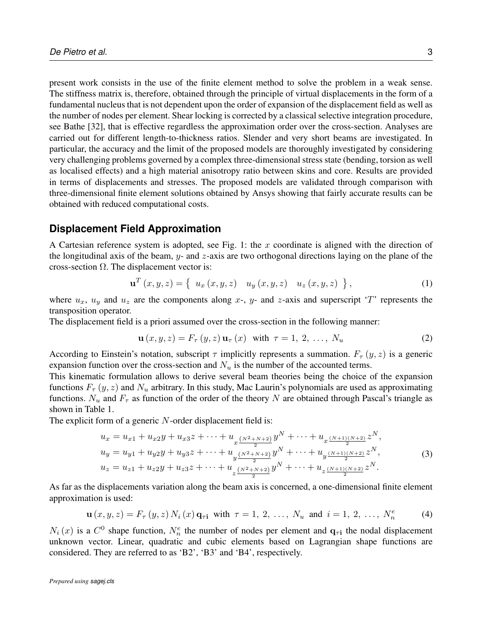present work consists in the use of the finite element method to solve the problem in a weak sense. The stiffness matrix is, therefore, obtained through the principle of virtual displacements in the form of a fundamental nucleus that is not dependent upon the order of expansion of the displacement field as well as the number of nodes per element. Shear locking is corrected by a classical selective integration procedure, see Bathe [32], that is effective regardless the approximation order over the cross-section. Analyses are carried out for different length-to-thickness ratios. Slender and very short beams are investigated. In particular, the accuracy and the limit of the proposed models are thoroughly investigated by considering very challenging problems governed by a complex three-dimensional stress state (bending, torsion as well as localised effects) and a high material anisotropy ratio between skins and core. Results are provided in terms of displacements and stresses. The proposed models are validated through comparison with three-dimensional finite element solutions obtained by Ansys showing that fairly accurate results can be obtained with reduced computational costs.

#### **Displacement Field Approximation**

A Cartesian reference system is adopted, see Fig. 1: the  $x$  coordinate is aligned with the direction of the longitudinal axis of the beam,  $y$ - and  $z$ -axis are two orthogonal directions laying on the plane of the cross-section  $\Omega$ . The displacement vector is:

$$
\mathbf{u}^{T}(x, y, z) = \{ u_{x}(x, y, z) u_{y}(x, y, z) u_{z}(x, y, z) \},
$$
\n(1)

where  $u_x$ ,  $u_y$  and  $u_z$  are the components along x-, y- and z-axis and superscript 'T' represents the transposition operator.

The displacement field is a priori assumed over the cross-section in the following manner:

$$
\mathbf{u}(x, y, z) = F_{\tau}(y, z) \mathbf{u}_{\tau}(x) \quad \text{with} \quad \tau = 1, 2, \dots, N_u \tag{2}
$$

According to Einstein's notation, subscript  $\tau$  implicitly represents a summation.  $F_{\tau}(y, z)$  is a generic expansion function over the cross-section and  $N_u$  is the number of the accounted terms.

This kinematic formulation allows to derive several beam theories being the choice of the expansion functions  $F_{\tau}(y, z)$  and  $N_u$  arbitrary. In this study, Mac Laurin's polynomials are used as approximating functions.  $N_u$  and  $F_\tau$  as function of the order of the theory N are obtained through Pascal's triangle as shown in Table 1.

The explicit form of a generic N-order displacement field is:

$$
u_x = u_{x1} + u_{x2}y + u_{x3}z + \dots + u_{x\frac{(N^2 + N + 2)}{2}}y^N + \dots + u_{x\frac{(N+1)(N+2)}{2}}z^N,
$$
  
\n
$$
u_y = u_{y1} + u_{y2}y + u_{y3}z + \dots + u_{y\frac{(N^2 + N + 2)}{2}}y^N + \dots + u_{y\frac{(N+1)(N+2)}{2}}z^N,
$$
  
\n
$$
u_z = u_{z1} + u_{z2}y + u_{z3}z + \dots + u_{z\frac{(N^2 + N + 2)}{2}}y^N + \dots + u_{z\frac{(N+1)(N+2)}{2}}z^N.
$$
\n(3)

As far as the displacements variation along the beam axis is concerned, a one-dimensional finite element approximation is used:

$$
\mathbf{u}(x, y, z) = F_{\tau}(y, z) N_i(x) \mathbf{q}_{\tau i} \text{ with } \tau = 1, 2, ..., N_u \text{ and } i = 1, 2, ..., N_n^e \tag{4}
$$

 $N_i(x)$  is a  $C^0$  shape function,  $N_n^e$  the number of nodes per element and  $q_{\tau i}$  the nodal displacement unknown vector. Linear, quadratic and cubic elements based on Lagrangian shape functions are considered. They are referred to as 'B2', 'B3' and 'B4', respectively.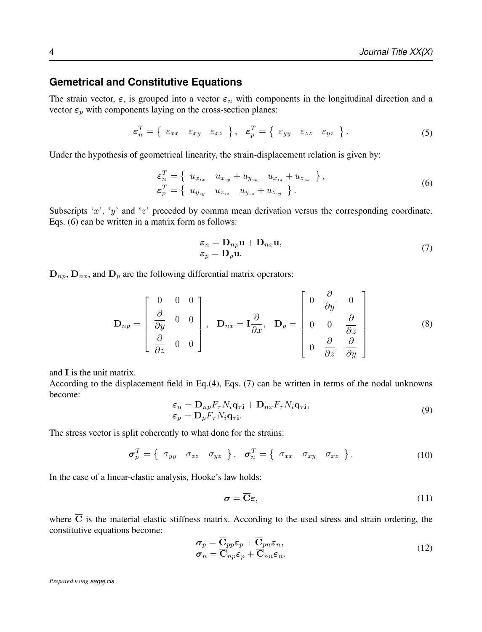## **Gemetrical and Constitutive Equations**

The strain vector,  $\varepsilon$ , is grouped into a vector  $\varepsilon_n$  with components in the longitudinal direction and a vector  $\varepsilon_p$  with components laying on the cross-section planes:

$$
\varepsilon_n^T = \left\{ \begin{array}{ll} \varepsilon_{xx} & \varepsilon_{xy} & \varepsilon_{xz} \end{array} \right\}, \quad \varepsilon_p^T = \left\{ \begin{array}{ll} \varepsilon_{yy} & \varepsilon_{zz} & \varepsilon_{yz} \end{array} \right\}.
$$
\n(5)

Under the hypothesis of geometrical linearity, the strain-displacement relation is given by:

$$
\varepsilon_n^T = \left\{ \begin{array}{ll} u_{x,x} & u_{x,y} + u_{y,x} & u_{x,z} + u_{z,x} \\ \varepsilon_p^T = \left\{ \begin{array}{ll} u_{y,y} & u_{z,z} & u_{y,z} + u_{z,y} \end{array} \right\} \right\}, \tag{6}
$$

Subscripts 'x', 'y' and 'z' preceded by comma mean derivation versus the corresponding coordinate. Eqs. (6) can be written in a matrix form as follows:

$$
\varepsilon_n = \mathbf{D}_{np} \mathbf{u} + \mathbf{D}_{nx} \mathbf{u},
$$
  
\n
$$
\varepsilon_p = \mathbf{D}_p \mathbf{u}.
$$
 (7)

 $\mathbf{D}_{np}$ ,  $\mathbf{D}_{nx}$ , and  $\mathbf{D}_p$  are the following differential matrix operators:

$$
\mathbf{D}_{np} = \begin{bmatrix} 0 & 0 & 0 \\ \frac{\partial}{\partial y} & 0 & 0 \\ \frac{\partial}{\partial z} & 0 & 0 \end{bmatrix}, \quad \mathbf{D}_{nx} = \mathbf{I} \frac{\partial}{\partial x}, \quad \mathbf{D}_{p} = \begin{bmatrix} 0 & \frac{\partial}{\partial y} & 0 \\ 0 & 0 & \frac{\partial}{\partial z} \\ 0 & \frac{\partial}{\partial z} & \frac{\partial}{\partial y} \end{bmatrix}
$$
(8)

and I is the unit matrix.

According to the displacement field in Eq.(4), Eqs. (7) can be written in terms of the nodal unknowns become:

$$
\varepsilon_n = \mathbf{D}_{np} F_{\tau} N_i \mathbf{q}_{\tau i} + \mathbf{D}_{nx} F_{\tau} N_i \mathbf{q}_{\tau i},
$$
  
\n
$$
\varepsilon_p = \mathbf{D}_p F_{\tau} N_i \mathbf{q}_{\tau i}.
$$
\n(9)

The stress vector is split coherently to what done for the strains:

$$
\boldsymbol{\sigma}_p^T = \left\{ \begin{array}{ccc} \sigma_{yy} & \sigma_{zz} & \sigma_{yz} \end{array} \right\}, \quad \boldsymbol{\sigma}_n^T = \left\{ \begin{array}{ccc} \sigma_{xx} & \sigma_{xy} & \sigma_{xz} \end{array} \right\}.
$$
\n(10)

In the case of a linear-elastic analysis, Hooke's law holds:

$$
\sigma = \overline{\mathbf{C}}\varepsilon,\tag{11}
$$

where  $\overline{C}$  is the material elastic stiffness matrix. According to the used stress and strain ordering, the constitutive equations become:

$$
\sigma_p = \overline{\mathbf{C}}_{pp} \varepsilon_p + \overline{\mathbf{C}}_{pn} \varepsilon_n,
$$
  
\n
$$
\sigma_n = \overline{\mathbf{C}}_{np} \varepsilon_p + \overline{\mathbf{C}}_{nn} \varepsilon_n.
$$
\n(12)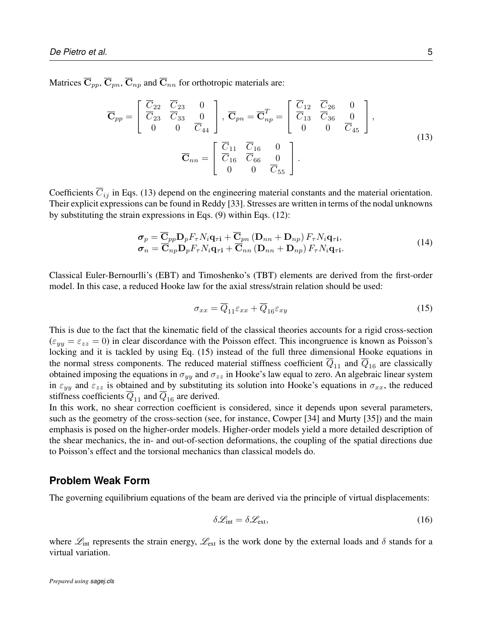Matrices  $\overline{\mathbf{C}}_{pp}$ ,  $\overline{\mathbf{C}}_{nn}$ ,  $\overline{\mathbf{C}}_{np}$  and  $\overline{\mathbf{C}}_{nn}$  for orthotropic materials are:

$$
\overline{\mathbf{C}}_{pp} = \begin{bmatrix} \overline{C}_{22} & \overline{C}_{23} & 0 \\ \overline{C}_{23} & \overline{C}_{33} & 0 \\ 0 & 0 & \overline{C}_{44} \end{bmatrix}, \overline{\mathbf{C}}_{pn} = \overline{\mathbf{C}}_{np}^T = \begin{bmatrix} \overline{C}_{12} & \overline{C}_{26} & 0 \\ \overline{C}_{13} & \overline{C}_{36} & 0 \\ 0 & 0 & \overline{C}_{45} \end{bmatrix},
$$
\n
$$
\overline{\mathbf{C}}_{nn} = \begin{bmatrix} \overline{C}_{11} & \overline{C}_{16} & 0 \\ \overline{C}_{16} & \overline{C}_{66} & 0 \\ 0 & 0 & \overline{C}_{55} \end{bmatrix}.
$$
\n(13)

Coefficients  $\overline{C}_{ij}$  in Eqs. (13) depend on the engineering material constants and the material orientation. Their explicit expressions can be found in Reddy [33]. Stresses are written in terms of the nodal unknowns by substituting the strain expressions in Eqs. (9) within Eqs. (12):

$$
\sigma_p = \mathbf{C}_{pp} \mathbf{D}_p F_\tau N_i \mathbf{q}_{\tau i} + \mathbf{C}_{pn} \left( \mathbf{D}_{nn} + \mathbf{D}_{np} \right) F_\tau N_i \mathbf{q}_{\tau i}, \n\sigma_n = \overline{\mathbf{C}}_{np} \mathbf{D}_p F_\tau N_i \mathbf{q}_{\tau i} + \overline{\mathbf{C}}_{nn} \left( \mathbf{D}_{nn} + \mathbf{D}_{np} \right) F_\tau N_i \mathbf{q}_{\tau i}.
$$
\n(14)

Classical Euler-Bernourlli's (EBT) and Timoshenko's (TBT) elements are derived from the first-order model. In this case, a reduced Hooke law for the axial stress/strain relation should be used:

$$
\sigma_{xx} = \overline{Q}_{11}\varepsilon_{xx} + \overline{Q}_{16}\varepsilon_{xy} \tag{15}
$$

This is due to the fact that the kinematic field of the classical theories accounts for a rigid cross-section  $(\varepsilon_{yy} = \varepsilon_{zz} = 0)$  in clear discordance with the Poisson effect. This incongruence is known as Poisson's locking and it is tackled by using Eq. (15) instead of the full three dimensional Hooke equations in the normal stress components. The reduced material stiffness coefficient  $Q_{11}$  and  $Q_{16}$  are classically obtained imposing the equations in  $\sigma_{yy}$  and  $\sigma_{zz}$  in Hooke's law equal to zero. An algebraic linear system in  $\varepsilon_{yy}$  and  $\varepsilon_{zz}$  is obtained and by substituting its solution into Hooke's equations in  $\sigma_{xx}$ , the reduced stiffness coefficients  $\overline{Q}_{11}$  and  $\overline{Q}_{16}$  are derived.

In this work, no shear correction coefficient is considered, since it depends upon several parameters, such as the geometry of the cross-section (see, for instance, Cowper [34] and Murty [35]) and the main emphasis is posed on the higher-order models. Higher-order models yield a more detailed description of the shear mechanics, the in- and out-of-section deformations, the coupling of the spatial directions due to Poisson's effect and the torsional mechanics than classical models do.

#### **Problem Weak Form**

The governing equilibrium equations of the beam are derived via the principle of virtual displacements:

$$
\delta \mathcal{L}_{\text{int}} = \delta \mathcal{L}_{\text{ext}},\tag{16}
$$

where  $\mathcal{L}_{int}$  represents the strain energy,  $\mathcal{L}_{ext}$  is the work done by the external loads and  $\delta$  stands for a virtual variation.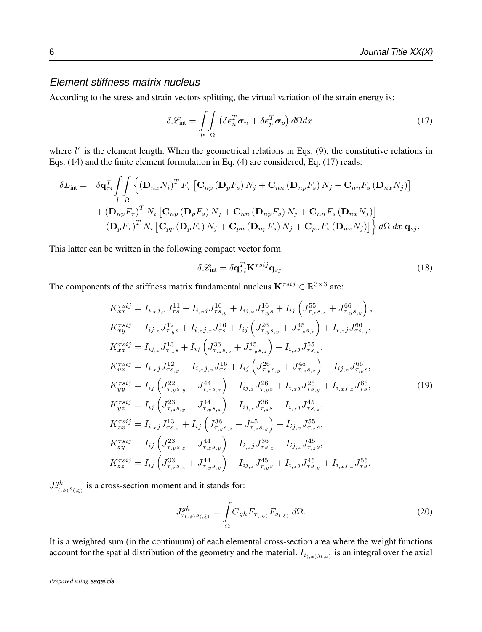### *Element stiffness matrix nucleus*

According to the stress and strain vectors splitting, the virtual variation of the strain energy is:

$$
\delta \mathcal{L}_{\text{int}} = \int_{l^e} \int_{\Omega} \left( \delta \boldsymbol{\epsilon}_n^T \boldsymbol{\sigma}_n + \delta \boldsymbol{\epsilon}_p^T \boldsymbol{\sigma}_p \right) d\Omega dx, \tag{17}
$$

where  $l^e$  is the element length. When the geometrical relations in Eqs. (9), the constitutive relations in Eqs. (14) and the finite element formulation in Eq. (4) are considered, Eq. (17) reads:

$$
\delta L_{int} = \delta \mathbf{q}_{\tau i}^{T} \int_{l} \int_{\Omega} \left\{ (\mathbf{D}_{nx} N_{i})^{T} F_{\tau} \left[ \overline{\mathbf{C}}_{np} \left( \mathbf{D}_{p} F_{s} \right) N_{j} + \overline{\mathbf{C}}_{nn} \left( \mathbf{D}_{np} F_{s} \right) N_{j} + \overline{\mathbf{C}}_{nn} F_{s} \left( \mathbf{D}_{nx} N_{j} \right) \right] \right.+ \left( \mathbf{D}_{np} F_{\tau} \right)^{T} N_{i} \left[ \overline{\mathbf{C}}_{np} \left( \mathbf{D}_{p} F_{s} \right) N_{j} + \overline{\mathbf{C}}_{nn} \left( \mathbf{D}_{np} F_{s} \right) N_{j} + \overline{\mathbf{C}}_{nn} F_{s} \left( \mathbf{D}_{nx} N_{j} \right) \right] \right.+ \left( \mathbf{D}_{p} F_{\tau} \right)^{T} N_{i} \left[ \overline{\mathbf{C}}_{pp} \left( \mathbf{D}_{p} F_{s} \right) N_{j} + \overline{\mathbf{C}}_{pn} \left( \mathbf{D}_{np} F_{s} \right) N_{j} + \overline{\mathbf{C}}_{pn} F_{s} \left( \mathbf{D}_{nx} N_{j} \right) \right] \right\} d\Omega dx \, \mathbf{q}_{sj}.
$$

This latter can be written in the following compact vector form:

$$
\delta \mathcal{L}_{int} = \delta \mathbf{q}_{\tau i}^T \mathbf{K}^{\tau s i j} \mathbf{q}_{s j}.
$$
 (18)

The components of the stiffness matrix fundamental nucleus  $K^{\tau s i j} \in \mathbb{R}^{3 \times 3}$  are:

$$
K_{xx}^{\tau s i j} = I_{i,xj,x} J_{\tau s}^{11} + I_{i,xj} J_{\tau s,y}^{16} + I_{ij,x} J_{\tau,ys}^{16} + I_{ij} \left( J_{\tau,z,s,z}^{55} + J_{\tau,y,s,y}^{66} \right),
$$
  
\n
$$
K_{xy}^{\tau s i j} = I_{ij,x} J_{\tau,ys}^{12} + I_{i,xj,x} J_{\tau s}^{16} + I_{ij} \left( J_{\tau,y,s,y}^{26} + J_{\tau,z,s,z}^{45} \right) + I_{i,xj} J_{\tau s,y}^{66},
$$
  
\n
$$
K_{xx}^{\tau s i j} = I_{i,j,x} J_{\tau,z}^{13} + I_{ij} \left( J_{\tau,z,s,y}^{36} + J_{\tau,y,s,z}^{45} \right) + I_{i,xj} J_{\tau s,z}^{55},
$$
  
\n
$$
K_{yx}^{\tau s i j} = I_{i,xj} J_{\tau s,y}^{12} + I_{i,xj,x} J_{\tau s}^{16} + I_{ij} \left( J_{\tau,y,s,y}^{26} + J_{\tau,z,s,z}^{45} \right) + I_{ij,x} J_{\tau s,y}^{66},
$$
  
\n
$$
K_{yy}^{\tau s i j} = I_{ij} \left( J_{\tau,y,s,y}^{22} + J_{\tau,z,s,z}^{44} \right) + I_{i,j,x} J_{\tau,y,s}^{26} + I_{i,xj} J_{\tau s,y}^{26} + I_{i,xj,x} J_{\tau s}^{66},
$$
  
\n
$$
K_{yx}^{\tau s i j} = I_{ij} \left( J_{\tau,z,s,y}^{23} + J_{\tau,y,s,z}^{44} \right) + I_{i,j,x} J_{\tau,z,s}^{36} + I_{i,xj} J_{\tau s,z}^{45},
$$
  
\n
$$
K_{zx}^{\tau s i j} = I_{i,xj} J_{\tau s,z}^{14} + I_{i} \left( J_{\tau,y,s,z}^{36} + J_{\tau,z,s,y}^{45} \right) + I_{i,j,x} J_{\tau s,z}^{55},
$$
  
\n
$$
K_{xy}^{\tau s i j} = I_{ij} \left( J_{\tau,y,s,z
$$

 $J_{\tau_{(\phi)}s_{(\xi)}}^{gh}$  is a cross-section moment and it stands for:

$$
J_{\tau_{(,\phi)}s_{(\xi)}}^{gh} = \int_{\Omega} \overline{C}_{gh} F_{\tau_{(,\phi)}} F_{s_{(\xi)}} d\Omega.
$$
 (20)

It is a weighted sum (in the continuum) of each elemental cross-section area where the weight functions account for the spatial distribution of the geometry and the material.  $I_{i_{(x,y)}j_{(x)}}$  is an integral over the axial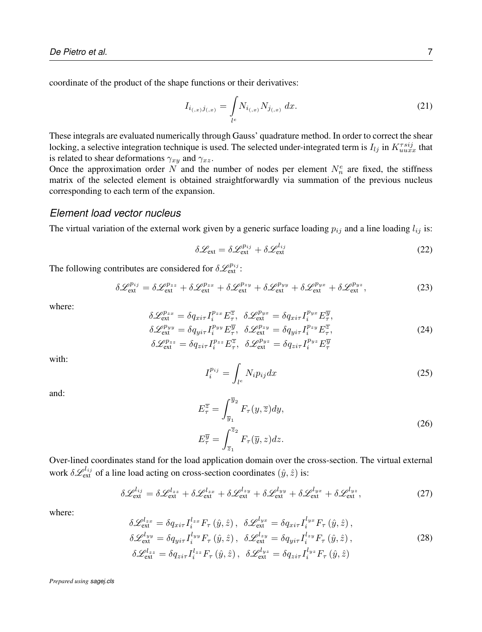coordinate of the product of the shape functions or their derivatives:

$$
I_{i_{(,x)}j_{(,x)}} = \int_{l^e} N_{i_{(,x)}} N_{j_{(,x)}} dx.
$$
 (21)

These integrals are evaluated numerically through Gauss' quadrature method. In order to correct the shear locking, a selective integration technique is used. The selected under-integrated term is  $I_{lj}$  in  $K_{uuxx}^{\tau s i j}$  that is related to shear deformations  $\gamma_{xy}$  and  $\gamma_{xz}$ .

Once the approximation order N and the number of nodes per element  $N_n^e$  are fixed, the stiffness matrix of the selected element is obtained straightforwardly via summation of the previous nucleus corresponding to each term of the expansion.

#### *Element load vector nucleus*

The virtual variation of the external work given by a generic surface loading  $p_{ij}$  and a line loading  $l_{ij}$  is:

$$
\delta \mathcal{L}_{\text{ext}} = \delta \mathcal{L}_{\text{ext}}^{p_{ij}} + \delta \mathcal{L}_{\text{ext}}^{l_{ij}} \tag{22}
$$

The following contributes are considered for  $\delta \mathcal{L}_{ext}^{p_{ij}}$ :

$$
\delta \mathcal{L}_{ext}^{p_{ij}} = \delta \mathcal{L}_{ext}^{p_{zz}} + \delta \mathcal{L}_{ext}^{p_{zx}} + \delta \mathcal{L}_{ext}^{p_{zy}} + \delta \mathcal{L}_{ext}^{p_{yy}} + \delta \mathcal{L}_{ext}^{p_{yx}} + \delta \mathcal{L}_{ext}^{p_{yz}},
$$
\n(23)

where:

$$
\delta \mathcal{L}_{\text{ext}}^{p_{zx}} = \delta q_{xir} I_i^{p_{zx}} E_{\tau}^{\overline{z}}, \quad \delta \mathcal{L}_{\text{ext}}^{p_{yx}} = \delta q_{xir} I_i^{p_{yx}} E_{\tau}^{\overline{y}},
$$
\n
$$
\delta \mathcal{L}_{\text{ext}}^{p_{yy}} = \delta q_{yir} I_i^{p_{yy}} E_{\tau}^{\overline{y}}, \quad \delta \mathcal{L}_{\text{ext}}^{p_{zy}} = \delta q_{yir} I_i^{p_{zy}} E_{\tau}^{\overline{z}},
$$
\n
$$
\delta \mathcal{L}_{\text{ext}}^{p_{zz}} = \delta q_{zir} I_i^{p_{zz}} E_{\tau}^{\overline{z}}, \quad \delta \mathcal{L}_{\text{ext}}^{p_{yz}} = \delta q_{zir} I_i^{p_{yz}} E_{\tau}^{\overline{y}}
$$
\n(24)

with:

$$
I_i^{p_{ij}} = \int_{l^e} N_i p_{ij} dx \tag{25}
$$

and:

$$
E_{\tau}^{\overline{z}} = \int_{\overline{y}_1}^{\overline{y}_2} F_{\tau}(y, \overline{z}) dy,
$$
  
\n
$$
E_{\tau}^{\overline{y}} = \int_{\overline{z}_1}^{\overline{z}_2} F_{\tau}(\overline{y}, z) dz.
$$
\n(26)

Over-lined coordinates stand for the load application domain over the cross-section. The virtual external work  $\delta \mathcal{L}_{ext}^{l_{ij}}$  of a line load acting on cross-section coordinates  $(\hat{y}, \hat{z})$  is:

$$
\delta \mathcal{L}_{\text{ext}}^{l_{ij}} = \delta \mathcal{L}_{\text{ext}}^{l_{zz}} + \delta \mathcal{L}_{\text{ext}}^{l_{zx}} + \delta \mathcal{L}_{\text{ext}}^{l_{zy}} + \delta \mathcal{L}_{\text{ext}}^{l_{yy}} + \delta \mathcal{L}_{\text{ext}}^{l_{yx}} + \delta \mathcal{L}_{\text{ext}}^{l_{yz}},\tag{27}
$$

where:

$$
\delta \mathcal{L}_{\text{ext}}^{l_{zx}} = \delta q_{xi\tau} I_i^{l_{zx}} F_\tau \left( \hat{y}, \hat{z} \right), \quad \delta \mathcal{L}_{\text{ext}}^{l_{yx}} = \delta q_{xi\tau} I_i^{l_{yx}} F_\tau \left( \hat{y}, \hat{z} \right), \n\delta \mathcal{L}_{\text{ext}}^{l_{yy}} = \delta q_{yi\tau} I_i^{l_{yy}} F_\tau \left( \hat{y}, \hat{z} \right), \quad \delta \mathcal{L}_{\text{ext}}^{l_{zy}} = \delta q_{yi\tau} I_i^{l_{zy}} F_\tau \left( \hat{y}, \hat{z} \right), \n\delta \mathcal{L}_{\text{ext}}^{l_{zz}} = \delta q_{zi\tau} I_i^{l_{zz}} F_\tau \left( \hat{y}, \hat{z} \right), \quad \delta \mathcal{L}_{\text{ext}}^{l_{yz}} = \delta q_{zi\tau} I_i^{l_{yz}} F_\tau \left( \hat{y}, \hat{z} \right)
$$
\n(28)

*Prepared using sagej.cls*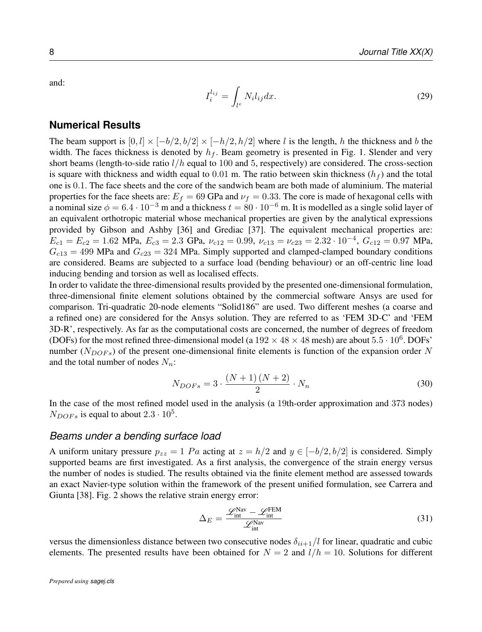and:

$$
I_i^{l_{ij}} = \int_{l^e} N_i l_{ij} dx.
$$
 (29)

#### **Numerical Results**

The beam support is  $[0, l] \times [-b/2, b/2] \times [-h/2, h/2]$  where l is the length, h the thickness and b the width. The faces thickness is denoted by  $h_f$ . Beam geometry is presented in Fig. 1. Slender and very short beams (length-to-side ratio  $l/h$  equal to 100 and 5, respectively) are considered. The cross-section is square with thickness and width equal to 0.01 m. The ratio between skin thickness  $(h_f)$  and the total one is 0.1. The face sheets and the core of the sandwich beam are both made of aluminium. The material properties for the face sheets are:  $E_f = 69$  GPa and  $\nu_f = 0.33$ . The core is made of hexagonal cells with a nominal size  $\phi = 6.4 \cdot 10^{-3}$  m and a thickness  $t = 80 \cdot 10^{-6}$  m. It is modelled as a single solid layer of an equivalent orthotropic material whose mechanical properties are given by the analytical expressions provided by Gibson and Ashby [36] and Grediac [37]. The equivalent mechanical properties are:  $E_{c1} = E_{c2} = 1.62$  MPa,  $E_{c3} = 2.3$  GPa,  $\nu_{c12} = 0.99$ ,  $\nu_{c13} = \nu_{c23} = 2.32 \cdot 10^{-4}$ ,  $G_{c12} = 0.97$  MPa,  $G<sub>c13</sub> = 499$  MPa and  $G<sub>c23</sub> = 324$  MPa. Simply supported and clamped-clamped boundary conditions are considered. Beams are subjected to a surface load (bending behaviour) or an off-centric line load inducing bending and torsion as well as localised effects.

In order to validate the three-dimensional results provided by the presented one-dimensional formulation, three-dimensional finite element solutions obtained by the commercial software Ansys are used for comparison. Tri-quadratic 20-node elements "Solid186" are used. Two different meshes (a coarse and a refined one) are considered for the Ansys solution. They are referred to as 'FEM 3D-C' and 'FEM 3D-R', respectively. As far as the computational costs are concerned, the number of degrees of freedom (DOFs) for the most refined three-dimensional model (a  $192 \times 48 \times 48$  mesh) are about  $5.5 \cdot 10^6$ . DOFs' number ( $N_{DOFs}$ ) of the present one-dimensional finite elements is function of the expansion order N and the total number of nodes  $N_n$ :

$$
N_{DOFs} = 3 \cdot \frac{(N+1)(N+2)}{2} \cdot N_n \tag{30}
$$

In the case of the most refined model used in the analysis (a 19th-order approximation and 373 nodes)  $N_{DOFs}$  is equal to about  $2.3 \cdot 10^5$ .

#### *Beams under a bending surface load*

A uniform unitary pressure  $p_{zz} = 1$  Pa acting at  $z = h/2$  and  $y \in [-b/2, b/2]$  is considered. Simply supported beams are first investigated. As a first analysis, the convergence of the strain energy versus the number of nodes is studied. The results obtained via the finite element method are assessed towards an exact Navier-type solution within the framework of the present unified formulation, see Carrera and Giunta [38]. Fig. 2 shows the relative strain energy error:

$$
\Delta_E = \frac{\mathcal{L}_{\text{int}}^{\text{Nav}} - \mathcal{L}_{\text{int}}^{\text{REM}}}{\mathcal{L}_{\text{int}}^{\text{Nav}}} \tag{31}
$$

versus the dimensionless distance between two consecutive nodes  $\delta_{ii+1}/l$  for linear, quadratic and cubic elements. The presented results have been obtained for  $N = 2$  and  $l/h = 10$ . Solutions for different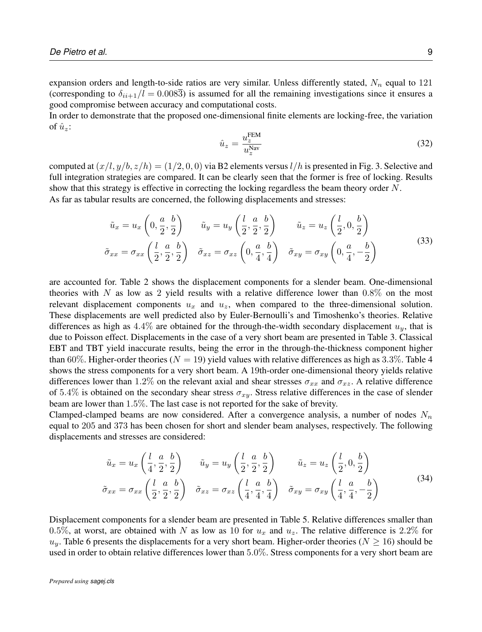expansion orders and length-to-side ratios are very similar. Unless differently stated,  $N_n$  equal to 121 (corresponding to  $\delta_{ii+1}/l = 0.008\overline{3}$ ) is assumed for all the remaining investigations since it ensures a good compromise between accuracy and computational costs.

In order to demonstrate that the proposed one-dimensional finite elements are locking-free, the variation of  $\hat{u}_z$ :

$$
\hat{u}_z = \frac{u_z^{\text{FEM}}}{u_z^{\text{Nav}}} \tag{32}
$$

computed at  $(x/l, y/b, z/h) = (1/2, 0, 0)$  via B2 elements versus  $l/h$  is presented in Fig. 3. Selective and full integration strategies are compared. It can be clearly seen that the former is free of locking. Results show that this strategy is effective in correcting the locking regardless the beam theory order N.

As far as tabular results are concerned, the following displacements and stresses:

$$
\tilde{u}_x = u_x \left( 0, \frac{a}{2}, \frac{b}{2} \right) \qquad \tilde{u}_y = u_y \left( \frac{l}{2}, \frac{a}{2}, \frac{b}{2} \right) \qquad \tilde{u}_z = u_z \left( \frac{l}{2}, 0, \frac{b}{2} \right)
$$
\n
$$
\tilde{\sigma}_{xx} = \sigma_{xx} \left( \frac{l}{2}, \frac{a}{2}, \frac{b}{2} \right) \qquad \tilde{\sigma}_{xz} = \sigma_{xz} \left( 0, \frac{a}{4}, \frac{b}{4} \right) \qquad \tilde{\sigma}_{xy} = \sigma_{xy} \left( 0, \frac{a}{4}, -\frac{b}{2} \right)
$$
\n(33)

are accounted for. Table 2 shows the displacement components for a slender beam. One-dimensional theories with N as low as 2 yield results with a relative difference lower than  $0.8\%$  on the most relevant displacement components  $u_x$  and  $u_z$ , when compared to the three-dimensional solution. These displacements are well predicted also by Euler-Bernoulli's and Timoshenko's theories. Relative differences as high as  $4.4\%$  are obtained for the through-the-width secondary displacement  $u_y$ , that is due to Poisson effect. Displacements in the case of a very short beam are presented in Table 3. Classical EBT and TBT yield inaccurate results, being the error in the through-the-thickness component higher than 60%. Higher-order theories ( $N = 19$ ) yield values with relative differences as high as 3.3%. Table 4 shows the stress components for a very short beam. A 19th-order one-dimensional theory yields relative differences lower than 1.2% on the relevant axial and shear stresses  $\sigma_{xx}$  and  $\sigma_{xz}$ . A relative difference of 5.4% is obtained on the secondary shear stress  $\sigma_{x}$ . Stress relative differences in the case of slender beam are lower than 1.5%. The last case is not reported for the sake of brevity.

Clamped-clamped beams are now considered. After a convergence analysis, a number of nodes  $N_n$ equal to 205 and 373 has been chosen for short and slender beam analyses, respectively. The following displacements and stresses are considered:

$$
\tilde{u}_x = u_x \left( \frac{l}{4}, \frac{a}{2}, \frac{b}{2} \right) \qquad \tilde{u}_y = u_y \left( \frac{l}{2}, \frac{a}{2}, \frac{b}{2} \right) \qquad \tilde{u}_z = u_z \left( \frac{l}{2}, 0, \frac{b}{2} \right)
$$
\n
$$
\tilde{\sigma}_{xx} = \sigma_{xx} \left( \frac{l}{2}, \frac{a}{2}, \frac{b}{2} \right) \qquad \tilde{\sigma}_{xz} = \sigma_{xz} \left( \frac{l}{4}, \frac{a}{4}, \frac{b}{4} \right) \qquad \tilde{\sigma}_{xy} = \sigma_{xy} \left( \frac{l}{4}, \frac{a}{4}, -\frac{b}{2} \right) \tag{34}
$$

Displacement components for a slender beam are presented in Table 5. Relative differences smaller than 0.5%, at worst, are obtained with N as low as 10 for  $u_x$  and  $u_z$ . The relative difference is 2.2% for  $u_y$ . Table 6 presents the displacements for a very short beam. Higher-order theories ( $N \ge 16$ ) should be used in order to obtain relative differences lower than 5.0%. Stress components for a very short beam are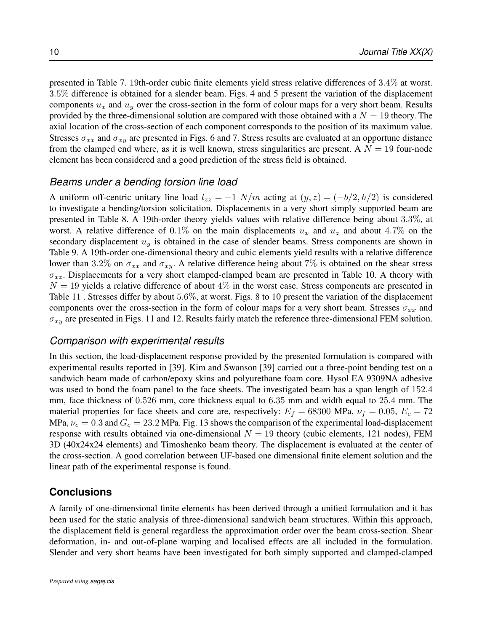presented in Table 7. 19th-order cubic finite elements yield stress relative differences of 3.4% at worst. 3.5% difference is obtained for a slender beam. Figs. 4 and 5 present the variation of the displacement components  $u_x$  and  $u_y$  over the cross-section in the form of colour maps for a very short beam. Results provided by the three-dimensional solution are compared with those obtained with a  $N = 19$  theory. The axial location of the cross-section of each component corresponds to the position of its maximum value. Stresses  $\sigma_{xx}$  and  $\sigma_{xy}$  are presented in Figs. 6 and 7. Stress results are evaluated at an opportune distance from the clamped end where, as it is well known, stress singularities are present. A  $N = 19$  four-node element has been considered and a good prediction of the stress field is obtained.

#### *Beams under a bending torsion line load*

A uniform off-centric unitary line load  $l_{zz} = -1$   $N/m$  acting at  $(y, z) = (-b/2, h/2)$  is considered to investigate a bending/torsion solicitation. Displacements in a very short simply supported beam are presented in Table 8. A 19th-order theory yields values with relative difference being about 3.3%, at worst. A relative difference of 0.1% on the main displacements  $u_x$  and  $u_z$  and about 4.7% on the secondary displacement  $u<sub>y</sub>$  is obtained in the case of slender beams. Stress components are shown in Table 9. A 19th-order one-dimensional theory and cubic elements yield results with a relative difference lower than 3.2% on  $\sigma_{xx}$  and  $\sigma_{xy}$ . A relative difference being about 7% is obtained on the shear stress  $\sigma_{xz}$ . Displacements for a very short clamped-clamped beam are presented in Table 10. A theory with  $N = 19$  yields a relative difference of about  $4\%$  in the worst case. Stress components are presented in Table 11 . Stresses differ by about 5.6%, at worst. Figs. 8 to 10 present the variation of the displacement components over the cross-section in the form of colour maps for a very short beam. Stresses  $\sigma_{xx}$  and  $\sigma_{xy}$  are presented in Figs. 11 and 12. Results fairly match the reference three-dimensional FEM solution.

#### *Comparison with experimental results*

In this section, the load-displacement response provided by the presented formulation is compared with experimental results reported in [39]. Kim and Swanson [39] carried out a three-point bending test on a sandwich beam made of carbon/epoxy skins and polyurethane foam core. Hysol EA 9309NA adhesive was used to bond the foam panel to the face sheets. The investigated beam has a span length of 152.4 mm, face thickness of 0.526 mm, core thickness equal to 6.35 mm and width equal to 25.4 mm. The material properties for face sheets and core are, respectively:  $E_f = 68300$  MPa,  $\nu_f = 0.05$ ,  $E_c = 72$ MPa,  $\nu_c = 0.3$  and  $G_c = 23.2$  MPa. Fig. 13 shows the comparison of the experimental load-displacement response with results obtained via one-dimensional  $N = 19$  theory (cubic elements, 121 nodes), FEM 3D (40x24x24 elements) and Timoshenko beam theory. The displacement is evaluated at the center of the cross-section. A good correlation between UF-based one dimensional finite element solution and the linear path of the experimental response is found.

#### **Conclusions**

A family of one-dimensional finite elements has been derived through a unified formulation and it has been used for the static analysis of three-dimensional sandwich beam structures. Within this approach, the displacement field is general regardless the approximation order over the beam cross-section. Shear deformation, in- and out-of-plane warping and localised effects are all included in the formulation. Slender and very short beams have been investigated for both simply supported and clamped-clamped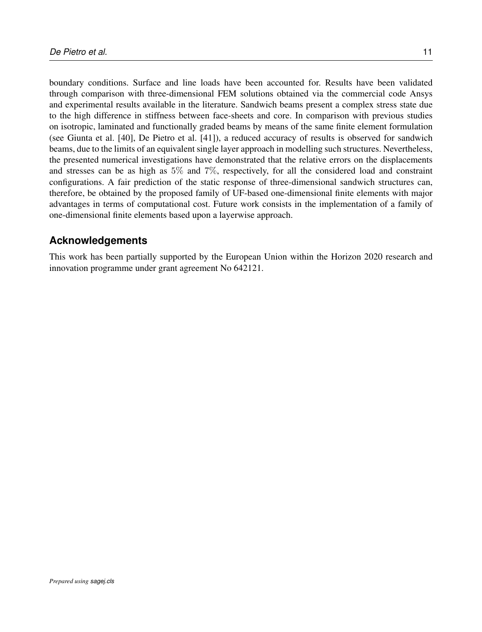boundary conditions. Surface and line loads have been accounted for. Results have been validated through comparison with three-dimensional FEM solutions obtained via the commercial code Ansys and experimental results available in the literature. Sandwich beams present a complex stress state due to the high difference in stiffness between face-sheets and core. In comparison with previous studies on isotropic, laminated and functionally graded beams by means of the same finite element formulation (see Giunta et al. [40], De Pietro et al. [41]), a reduced accuracy of results is observed for sandwich beams, due to the limits of an equivalent single layer approach in modelling such structures. Nevertheless, the presented numerical investigations have demonstrated that the relative errors on the displacements and stresses can be as high as 5% and 7%, respectively, for all the considered load and constraint configurations. A fair prediction of the static response of three-dimensional sandwich structures can, therefore, be obtained by the proposed family of UF-based one-dimensional finite elements with major advantages in terms of computational cost. Future work consists in the implementation of a family of one-dimensional finite elements based upon a layerwise approach.

## **Acknowledgements**

This work has been partially supported by the European Union within the Horizon 2020 research and innovation programme under grant agreement No 642121.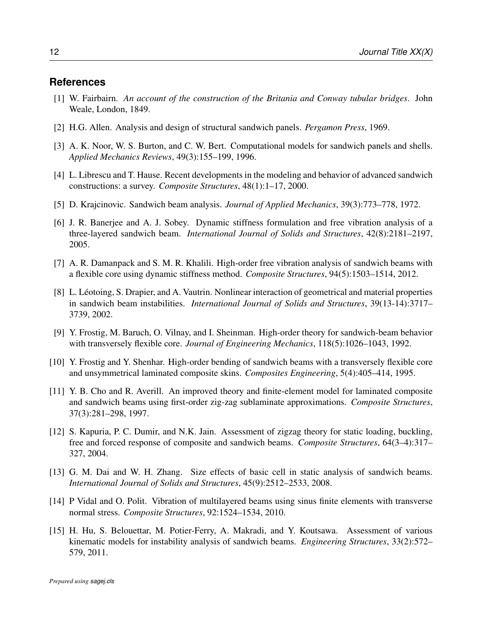#### **References**

- [1] W. Fairbairn. *An account of the construction of the Britania and Conway tubular bridges*. John Weale, London, 1849.
- [2] H.G. Allen. Analysis and design of structural sandwich panels. *Pergamon Press*, 1969.
- [3] A. K. Noor, W. S. Burton, and C. W. Bert. Computational models for sandwich panels and shells. *Applied Mechanics Reviews*, 49(3):155–199, 1996.
- [4] L. Librescu and T. Hause. Recent developments in the modeling and behavior of advanced sandwich constructions: a survey. *Composite Structures*, 48(1):1–17, 2000.
- [5] D. Krajcinovic. Sandwich beam analysis. *Journal of Applied Mechanics*, 39(3):773–778, 1972.
- [6] J. R. Banerjee and A. J. Sobey. Dynamic stiffness formulation and free vibration analysis of a three-layered sandwich beam. *International Journal of Solids and Structures*, 42(8):2181–2197, 2005.
- [7] A. R. Damanpack and S. M. R. Khalili. High-order free vibration analysis of sandwich beams with a flexible core using dynamic stiffness method. *Composite Structures*, 94(5):1503–1514, 2012.
- [8] L. Léotoing, S. Drapier, and A. Vautrin. Nonlinear interaction of geometrical and material properties in sandwich beam instabilities. *International Journal of Solids and Structures*, 39(13-14):3717– 3739, 2002.
- [9] Y. Frostig, M. Baruch, O. Vilnay, and I. Sheinman. High-order theory for sandwich-beam behavior with transversely flexible core. *Journal of Engineering Mechanics*, 118(5):1026–1043, 1992.
- [10] Y. Frostig and Y. Shenhar. High-order bending of sandwich beams with a transversely flexible core and unsymmetrical laminated composite skins. *Composites Engineering*, 5(4):405–414, 1995.
- [11] Y. B. Cho and R. Averill. An improved theory and finite-element model for laminated composite and sandwich beams using first-order zig-zag sublaminate approximations. *Composite Structures*, 37(3):281–298, 1997.
- [12] S. Kapuria, P. C. Dumir, and N.K. Jain. Assessment of zigzag theory for static loading, buckling, free and forced response of composite and sandwich beams. *Composite Structures*, 64(3–4):317– 327, 2004.
- [13] G. M. Dai and W. H. Zhang. Size effects of basic cell in static analysis of sandwich beams. *International Journal of Solids and Structures*, 45(9):2512–2533, 2008.
- [14] P Vidal and O. Polit. Vibration of multilayered beams using sinus finite elements with transverse normal stress. *Composite Structures*, 92:1524–1534, 2010.
- [15] H. Hu, S. Belouettar, M. Potier-Ferry, A. Makradi, and Y. Koutsawa. Assessment of various kinematic models for instability analysis of sandwich beams. *Engineering Structures*, 33(2):572– 579, 2011.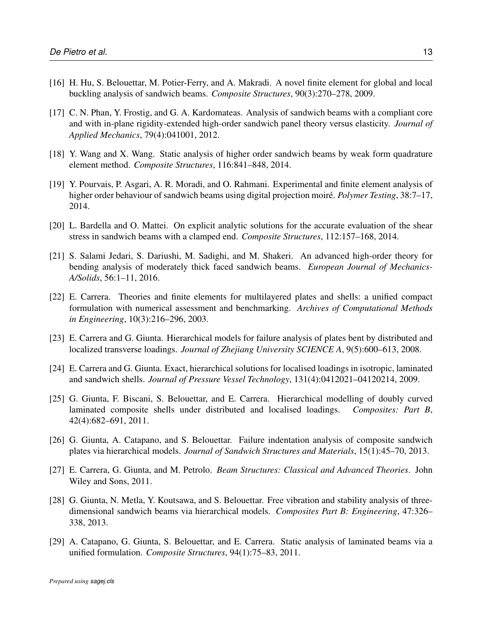- [16] H. Hu, S. Belouettar, M. Potier-Ferry, and A. Makradi. A novel finite element for global and local buckling analysis of sandwich beams. *Composite Structures*, 90(3):270–278, 2009.
- [17] C. N. Phan, Y. Frostig, and G. A. Kardomateas. Analysis of sandwich beams with a compliant core and with in-plane rigidity-extended high-order sandwich panel theory versus elasticity. *Journal of Applied Mechanics*, 79(4):041001, 2012.
- [18] Y. Wang and X. Wang. Static analysis of higher order sandwich beams by weak form quadrature element method. *Composite Structures*, 116:841–848, 2014.
- [19] Y. Pourvais, P. Asgari, A. R. Moradi, and O. Rahmani. Experimental and finite element analysis of higher order behaviour of sandwich beams using digital projection moiré. *Polymer Testing*, 38:7–17, 2014.
- [20] L. Bardella and O. Mattei. On explicit analytic solutions for the accurate evaluation of the shear stress in sandwich beams with a clamped end. *Composite Structures*, 112:157–168, 2014.
- [21] S. Salami Jedari, S. Dariushi, M. Sadighi, and M. Shakeri. An advanced high-order theory for bending analysis of moderately thick faced sandwich beams. *European Journal of Mechanics-A/Solids*, 56:1–11, 2016.
- [22] E. Carrera. Theories and finite elements for multilayered plates and shells: a unified compact formulation with numerical assessment and benchmarking. *Archives of Computational Methods in Engineering*, 10(3):216–296, 2003.
- [23] E. Carrera and G. Giunta. Hierarchical models for failure analysis of plates bent by distributed and localized transverse loadings. *Journal of Zhejiang University SCIENCE A*, 9(5):600–613, 2008.
- [24] E. Carrera and G. Giunta. Exact, hierarchical solutions for localised loadings in isotropic, laminated and sandwich shells. *Journal of Pressure Vessel Technology*, 131(4):0412021–04120214, 2009.
- [25] G. Giunta, F. Biscani, S. Belouettar, and E. Carrera. Hierarchical modelling of doubly curved laminated composite shells under distributed and localised loadings. *Composites: Part B*, 42(4):682–691, 2011.
- [26] G. Giunta, A. Catapano, and S. Belouettar. Failure indentation analysis of composite sandwich plates via hierarchical models. *Journal of Sandwich Structures and Materials*, 15(1):45–70, 2013.
- [27] E. Carrera, G. Giunta, and M. Petrolo. *Beam Structures: Classical and Advanced Theories*. John Wiley and Sons, 2011.
- [28] G. Giunta, N. Metla, Y. Koutsawa, and S. Belouettar. Free vibration and stability analysis of threedimensional sandwich beams via hierarchical models. *Composites Part B: Engineering*, 47:326– 338, 2013.
- [29] A. Catapano, G. Giunta, S. Belouettar, and E. Carrera. Static analysis of laminated beams via a unified formulation. *Composite Structures*, 94(1):75–83, 2011.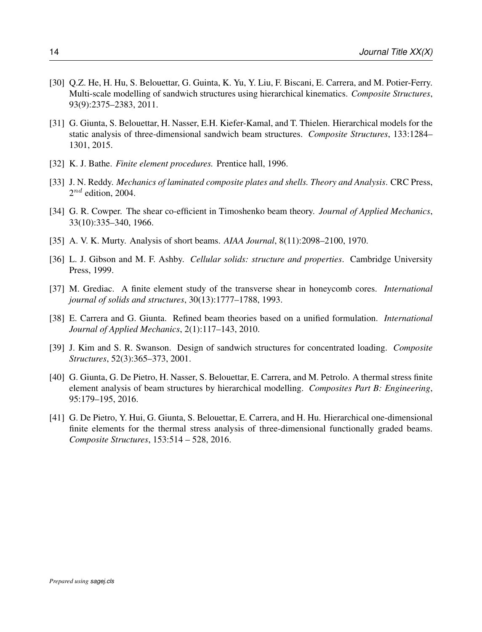- [30] Q.Z. He, H. Hu, S. Belouettar, G. Guinta, K. Yu, Y. Liu, F. Biscani, E. Carrera, and M. Potier-Ferry. Multi-scale modelling of sandwich structures using hierarchical kinematics. *Composite Structures*, 93(9):2375–2383, 2011.
- [31] G. Giunta, S. Belouettar, H. Nasser, E.H. Kiefer-Kamal, and T. Thielen. Hierarchical models for the static analysis of three-dimensional sandwich beam structures. *Composite Structures*, 133:1284– 1301, 2015.
- [32] K. J. Bathe. *Finite element procedures*. Prentice hall, 1996.
- [33] J. N. Reddy. *Mechanics of laminated composite plates and shells. Theory and Analysis*. CRC Press,  $2^{nd}$  edition, 2004.
- [34] G. R. Cowper. The shear co-efficient in Timoshenko beam theory. *Journal of Applied Mechanics*, 33(10):335–340, 1966.
- [35] A. V. K. Murty. Analysis of short beams. *AIAA Journal*, 8(11):2098–2100, 1970.
- [36] L. J. Gibson and M. F. Ashby. *Cellular solids: structure and properties*. Cambridge University Press, 1999.
- [37] M. Grediac. A finite element study of the transverse shear in honeycomb cores. *International journal of solids and structures*, 30(13):1777–1788, 1993.
- [38] E. Carrera and G. Giunta. Refined beam theories based on a unified formulation. *International Journal of Applied Mechanics*, 2(1):117–143, 2010.
- [39] J. Kim and S. R. Swanson. Design of sandwich structures for concentrated loading. *Composite Structures*, 52(3):365–373, 2001.
- [40] G. Giunta, G. De Pietro, H. Nasser, S. Belouettar, E. Carrera, and M. Petrolo. A thermal stress finite element analysis of beam structures by hierarchical modelling. *Composites Part B: Engineering*, 95:179–195, 2016.
- [41] G. De Pietro, Y. Hui, G. Giunta, S. Belouettar, E. Carrera, and H. Hu. Hierarchical one-dimensional finite elements for the thermal stress analysis of three-dimensional functionally graded beams. *Composite Structures*, 153:514 – 528, 2016.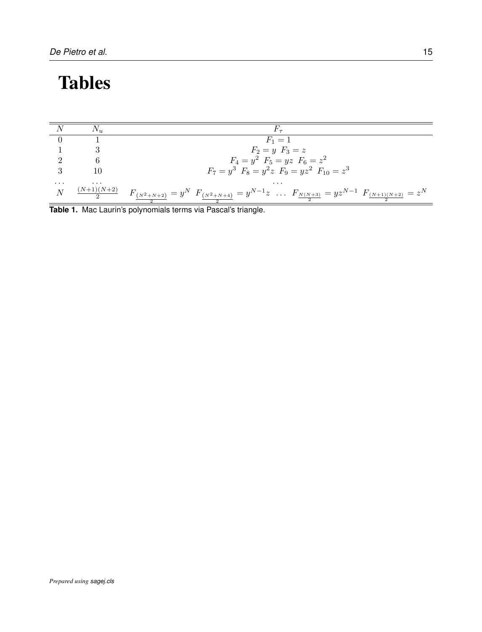# Tables

|          |                        | $F_1 = 1$                                                                                       |
|----------|------------------------|-------------------------------------------------------------------------------------------------|
|          |                        | $F_2 = y \; F_3 = z$                                                                            |
|          |                        | $F_4 = y^2$ $F_5 = yz$ $F_6 = z^2$                                                              |
|          | 10                     | $F_7 = y^3$ $F_8 = y^2 z$ $F_9 = yz^2$ $F_{10} = z^3$                                           |
| $\cdots$ | $\cdots$               | $\cdots$                                                                                        |
| N        | $\frac{(N+1)(N+2)}{2}$ | $F_{(N^2+N+2)} = y^N F_{(N^2+N+4)} = y^{N-1}z \dots F_{N(N+3)} = yz^{N-1} F_{(N+1)(N+2)} = z^N$ |

2 2 **Table 1.** Mac Laurin's polynomials terms via Pascal's triangle.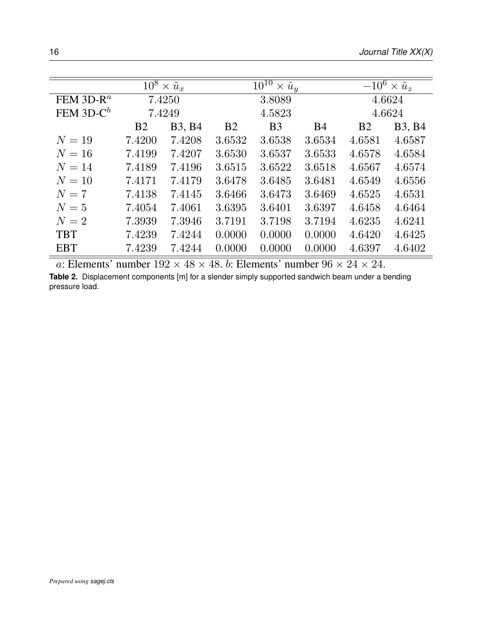|              |           | $\overline{10^8 \times \tilde{u}_x}$ |                | $\overline{10^{10} \times \tilde{u}_y}$ | $\overline{-10^6 \times u_z}$ |                |                        |  |
|--------------|-----------|--------------------------------------|----------------|-----------------------------------------|-------------------------------|----------------|------------------------|--|
| FEM $3D-R^a$ |           | 7.4250                               |                | 3.8089                                  |                               | 4.6624         |                        |  |
| FEM $3D-C^b$ |           | 7.4249                               |                | 4.5823                                  |                               | 4.6624         |                        |  |
|              | <b>B2</b> | <b>B</b> 3, <b>B</b> 4               | B <sub>2</sub> | B <sub>3</sub>                          | <b>B4</b>                     | B <sub>2</sub> | <b>B</b> 3, <b>B</b> 4 |  |
| $N=19$       | 7.4200    | 7.4208                               | 3.6532         | 3.6538                                  | 3.6534                        | 4.6581         | 4.6587                 |  |
| $N=16$       | 7.4199    | 7.4207                               | 3.6530         | 3.6537                                  | 3.6533                        | 4.6578         | 4.6584                 |  |
| $N=14$       | 7.4189    | 7.4196                               | 3.6515         | 3.6522                                  | 3.6518                        | 4.6567         | 4.6574                 |  |
| $N=10$       | 7.4171    | 7.4179                               | 3.6478         | 3.6485                                  | 3.6481                        | 4.6549         | 4.6556                 |  |
| $N=7$        | 7.4138    | 7.4145                               | 3.6466         | 3.6473                                  | 3.6469                        | 4.6525         | 4.6531                 |  |
| $N=5$        | 7.4054    | 7.4061                               | 3.6395         | 3.6401                                  | 3.6397                        | 4.6458         | 4.6464                 |  |
| $N=2$        | 7.3939    | 7.3946                               | 3.7191         | 3.7198                                  | 3.7194                        | 4.6235         | 4.6241                 |  |
| <b>TBT</b>   | 7.4239    | 7.4244                               | 0.0000         | 0.0000                                  | 0.0000                        | 4.6420         | 4.6425                 |  |
| <b>EBT</b>   | 7.4239    | 7.4244                               | 0.0000         | 0.0000                                  | 0.0000                        | 4.6397         | 4.6402                 |  |

a: Elements' number  $192 \times 48 \times 48$ . b: Elements' number  $96 \times 24 \times 24$ . **Table 2.** Displacement components [m] for a slender simply supported sandwich beam under a bending pressure load.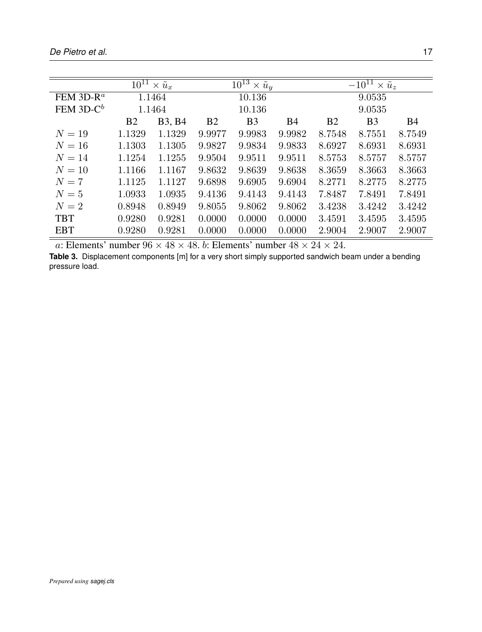|               |           | $\overline{10^{11}} \times \tilde{u}_x$ |                | $\overline{10^{13} \times \tilde{u}_y}$ |           | $\overline{-10^{11} \times u_z}$ |                |           |  |
|---------------|-----------|-----------------------------------------|----------------|-----------------------------------------|-----------|----------------------------------|----------------|-----------|--|
| FEM 3D- $R^a$ |           | 1.1464                                  |                | 10.136                                  |           | 9.0535                           |                |           |  |
| FEM $3D-C^b$  |           | 1.1464                                  |                | 10.136                                  |           |                                  | 9.0535         |           |  |
|               | <b>B2</b> | <b>B3, B4</b>                           | B <sub>2</sub> | B <sub>3</sub>                          | <b>B4</b> | <b>B2</b>                        | B <sub>3</sub> | <b>B4</b> |  |
| $N=19$        | 1.1329    | 1.1329                                  | 9.9977         | 9.9983                                  | 9.9982    | 8.7548                           | 8.7551         | 8.7549    |  |
| $N=16$        | 1.1303    | 1.1305                                  | 9.9827         | 9.9834                                  | 9.9833    | 8.6927                           | 8.6931         | 8.6931    |  |
| $N=14$        | 1.1254    | 1.1255                                  | 9.9504         | 9.9511                                  | 9.9511    | 8.5753                           | 8.5757         | 8.5757    |  |
| $N=10$        | 1.1166    | 1.1167                                  | 9.8632         | 9.8639                                  | 9.8638    | 8.3659                           | 8.3663         | 8.3663    |  |
| $N=7$         | 1.1125    | 1.1127                                  | 9.6898         | 9.6905                                  | 9.6904    | 8.2771                           | 8.2775         | 8.2775    |  |
| $N=5$         | 1.0933    | 1.0935                                  | 9.4136         | 9.4143                                  | 9.4143    | 7.8487                           | 7.8491         | 7.8491    |  |
| $N=2$         | 0.8948    | 0.8949                                  | 9.8055         | 9.8062                                  | 9.8062    | 3.4238                           | 3.4242         | 3.4242    |  |
| <b>TBT</b>    | 0.9280    | 0.9281                                  | 0.0000         | 0.0000                                  | 0.0000    | 3.4591                           | 3.4595         | 3.4595    |  |
| <b>EBT</b>    | 0.9280    | 0.9281                                  | 0.0000         | 0.0000                                  | 0.0000    | 2.9004                           | 2.9007         | 2.9007    |  |

**Table 3.** Displacement components [m] for a very short simply supported sandwich beam under a bending pressure load.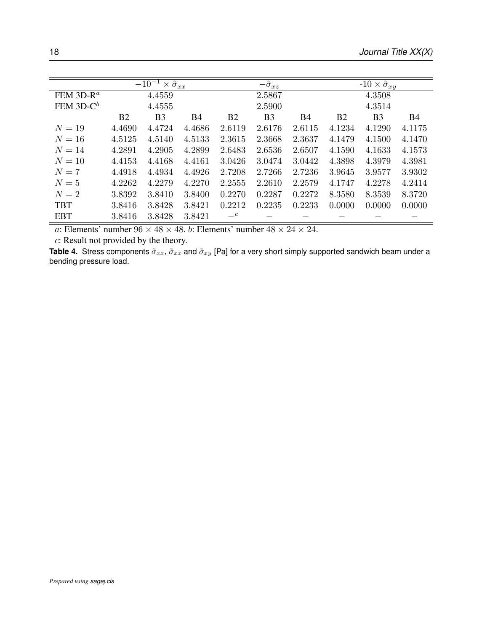|                                    |                | $-10^{-1} \times \tilde{\sigma}_{xx}$ |        |                | $-\tilde{\sigma}_{xz}$ |            |                | $-10 \times \tilde{\sigma}_{xy}$ |            |
|------------------------------------|----------------|---------------------------------------|--------|----------------|------------------------|------------|----------------|----------------------------------|------------|
| FEM 3D-R <sup><math>a</math></sup> |                | 4.4559                                |        |                | 2.5867                 |            |                | 4.3508                           |            |
| FEM $3D-C^b$                       |                | 4.4555                                |        |                | 2.5900                 |            |                | 4.3514                           |            |
|                                    | B <sub>2</sub> | B <sub>3</sub>                        | Β4     | B <sub>2</sub> | B <sub>3</sub>         | <b>B</b> 4 | B <sub>2</sub> | B <sub>3</sub>                   | <b>B</b> 4 |
| $N=19$                             | 4.4690         | 4.4724                                | 4.4686 | 2.6119         | 2.6176                 | 2.6115     | 4.1234         | 4.1290                           | 4.1175     |
| $N=16$                             | 4.5125         | 4.5140                                | 4.5133 | 2.3615         | 2.3668                 | 2.3637     | 4.1479         | 4.1500                           | 4.1470     |
| $N = 14$                           | 4.2891         | 4.2905                                | 4.2899 | 2.6483         | 2.6536                 | 2.6507     | 4.1590         | 4.1633                           | 4.1573     |
| $N=10$                             | 4.4153         | 4.4168                                | 4.4161 | 3.0426         | 3.0474                 | 3.0442     | 4.3898         | 4.3979                           | 4.3981     |
| $N=7$                              | 4.4918         | 4.4934                                | 4.4926 | 2.7208         | 2.7266                 | 2.7236     | 3.9645         | 3.9577                           | 3.9302     |
| $N=5$                              | 4.2262         | 4.2279                                | 4.2270 | 2.2555         | 2.2610                 | 2.2579     | 4.1747         | 4.2278                           | 4.2414     |
| $N=2$                              | 3.8392         | 3.8410                                | 3.8400 | 0.2270         | 0.2287                 | 0.2272     | 8.3580         | 8.3539                           | 8.3720     |
| <b>TBT</b>                         | 3.8416         | 3.8428                                | 3.8421 | 0.2212         | 0.2235                 | 0.2233     | 0.0000         | 0.0000                           | 0.0000     |
| <b>EBT</b>                         | 3.8416         | 3.8428                                | 3.8421 | $-c$           |                        |            |                |                                  |            |

c: Result not provided by the theory.

**Table 4.** Stress components  $\tilde{\sigma}_{xx}$ ,  $\tilde{\sigma}_{xz}$  and  $\tilde{\sigma}_{xy}$  [Pa] for a very short simply supported sandwich beam under a bending pressure load.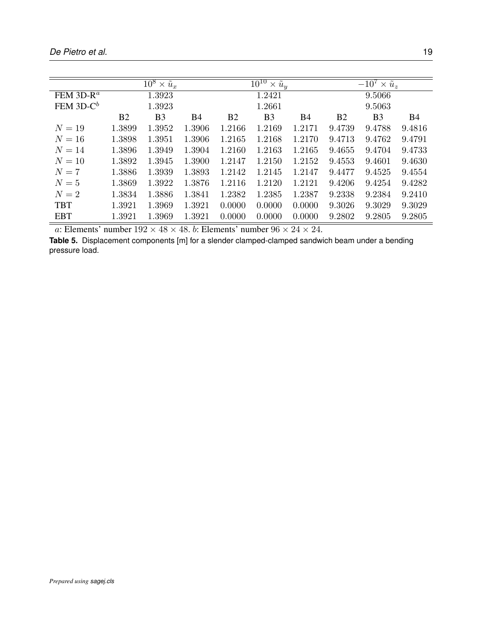|              |                | $\overline{10^8 \times \tilde{u}_x}$ |           |           | $10^{10}$<br>$\times \tilde{u}_y$ |        | $-10^7 \times \tilde{u}_z$ |                |           |  |
|--------------|----------------|--------------------------------------|-----------|-----------|-----------------------------------|--------|----------------------------|----------------|-----------|--|
| FEM $3D-R^a$ |                | 1.3923                               |           |           | 1.2421                            |        | 9.5066                     |                |           |  |
| FEM $3D-C^b$ |                | 1.3923                               |           |           | 1.2661                            |        |                            | 9.5063         |           |  |
|              | B <sub>2</sub> | B <sub>3</sub>                       | <b>B4</b> | <b>B2</b> | B <sub>3</sub>                    | Β4     | B <sub>2</sub>             | B <sub>3</sub> | <b>B4</b> |  |
| $N=19$       | 1.3899         | 1.3952                               | 1.3906    | 1.2166    | 1.2169                            | 1.2171 | 9.4739                     | 9.4788         | 9.4816    |  |
| $N=16$       | 1.3898         | 1.3951                               | 1.3906    | 1.2165    | 1.2168                            | 1.2170 | 9.4713                     | 9.4762         | 9.4791    |  |
| $N=14$       | 1.3896         | 1.3949                               | 1.3904    | 1.2160    | 1.2163                            | 1.2165 | 9.4655                     | 9.4704         | 9.4733    |  |
| $N=10$       | 1.3892         | 1.3945                               | 1.3900    | 1.2147    | 1.2150                            | 1.2152 | 9.4553                     | 9.4601         | 9.4630    |  |
| $N=7$        | 1.3886         | 1.3939                               | 1.3893    | 1.2142    | 1.2145                            | 1.2147 | 9.4477                     | 9.4525         | 9.4554    |  |
| $N=5$        | 1.3869         | 1.3922                               | 1.3876    | 1.2116    | 1.2120                            | 1.2121 | 9.4206                     | 9.4254         | 9.4282    |  |
| $N=2$        | 1.3834         | 1.3886                               | 1.3841    | 1.2382    | 1.2385                            | 1.2387 | 9.2338                     | 9.2384         | 9.2410    |  |
| <b>TBT</b>   | 1.3921         | 1.3969                               | 1.3921    | 0.0000    | 0.0000                            | 0.0000 | 9.3026                     | 9.3029         | 9.3029    |  |
| <b>EBT</b>   | 1.3921         | 1.3969                               | 1.3921    | 0.0000    | 0.0000                            | 0.0000 | 9.2802                     | 9.2805         | 9.2805    |  |

**Table 5.** Displacement components [m] for a slender clamped-clamped sandwich beam under a bending pressure load.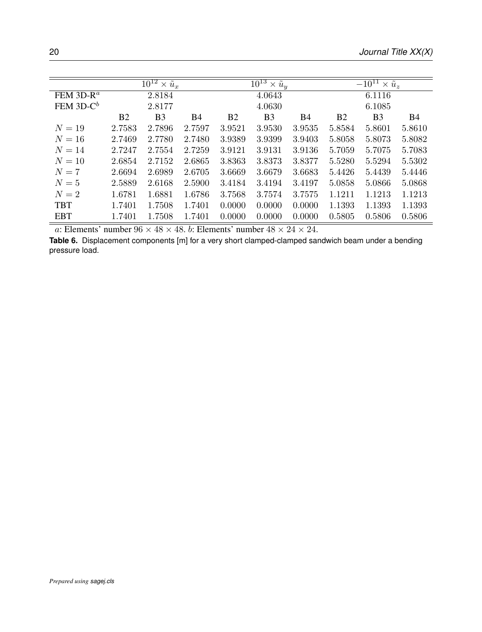|                | 2.8184         |           |                              | 4.0643         |            | 6.1116                                  |                |                                          |  |
|----------------|----------------|-----------|------------------------------|----------------|------------|-----------------------------------------|----------------|------------------------------------------|--|
|                | 2.8177         |           |                              | 4.0630         |            |                                         | 6.1085         |                                          |  |
| B <sub>2</sub> | B <sub>3</sub> | <b>B4</b> | <b>B2</b>                    | B <sub>3</sub> | <b>B</b> 4 | <b>B2</b>                               | B <sub>3</sub> | <b>B4</b>                                |  |
| 2.7583         | 2.7896         | 2.7597    | 3.9521                       | 3.9530         | 3.9535     | 5.8584                                  | 5.8601         | 5.8610                                   |  |
| 2.7469         | 2.7780         | 2.7480    | 3.9389                       | 3.9399         | 3.9403     | 5.8058                                  | 5.8073         | 5.8082                                   |  |
| 2.7247         | 2.7554         | 2.7259    | 3.9121                       | 3.9131         | 3.9136     | 5.7059                                  | 5.7075         | 5.7083                                   |  |
| 2.6854         | 2.7152         | 2.6865    | 3.8363                       | 3.8373         | 3.8377     | 5.5280                                  | 5.5294         | 5.5302                                   |  |
| 2.6694         | 2.6989         | 2.6705    | 3.6669                       | 3.6679         | 3.6683     | 5.4426                                  | 5.4439         | 5.4446                                   |  |
| 2.5889         | 2.6168         | 2.5900    | 3.4184                       | 3.4194         | 3.4197     | 5.0858                                  | 5.0866         | 5.0868                                   |  |
| 1.6781         | 1.6881         | 1.6786    | 3.7568                       | 3.7574         | 3.7575     | 1.1211                                  | 1.1213         | 1.1213                                   |  |
| 1.7401         | 1.7508         | 1.7401    | 0.0000                       | 0.0000         | 0.0000     | 1.1393                                  | 1.1393         | 1.1393                                   |  |
| 1.7401         | 1.7508         | 1.7401    | 0.0000                       | 0.0000         | 0.0000     | 0.5805                                  | 0.5806         | 0.5806                                   |  |
|                |                |           | $10^{12} \times \tilde{u}_x$ |                |            | $\overline{10^{13} \times \tilde{u}_y}$ |                | $\overline{-10^{11} \times \tilde{u}_z}$ |  |

**Table 6.** Displacement components [m] for a very short clamped-clamped sandwich beam under a bending pressure load.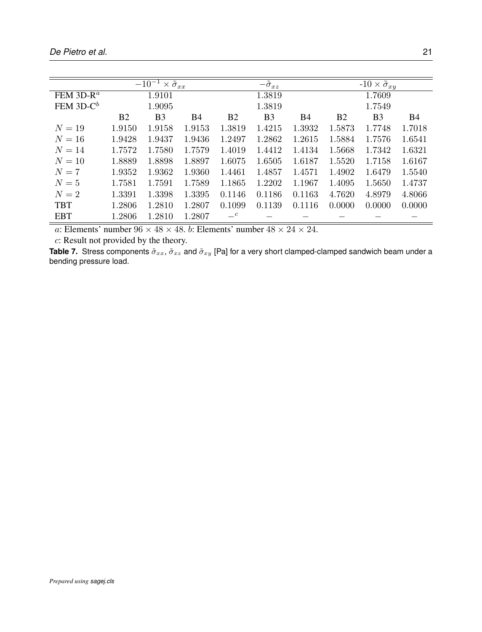|                                    |                | $\overline{-10^{-1}\times \tilde{\sigma}_{xx}}$ |        |                | $-\tilde{\sigma}_{xz}$ |           |           | $-10 \times \tilde{\sigma}_{xy}$ |           |
|------------------------------------|----------------|-------------------------------------------------|--------|----------------|------------------------|-----------|-----------|----------------------------------|-----------|
| FEM 3D-R <sup><math>a</math></sup> |                | 1.9101                                          |        |                | 1.3819                 |           |           | 1.7609                           |           |
| FEM $3D-C^b$                       |                | 1.9095                                          |        |                | 1.3819                 |           |           | 1.7549                           |           |
|                                    | B <sub>2</sub> | B <sub>3</sub>                                  | B4     | B <sub>2</sub> | B <sub>3</sub>         | <b>B4</b> | <b>B2</b> | B <sub>3</sub>                   | <b>B4</b> |
| $N=19$                             | 1.9150         | 1.9158                                          | 1.9153 | 1.3819         | 1.4215                 | 1.3932    | 1.5873    | 1.7748                           | 1.7018    |
| $N=16$                             | 1.9428         | 1.9437                                          | 1.9436 | 1.2497         | 1.2862                 | 1.2615    | 1.5884    | 1.7576                           | 1.6541    |
| $N = 14$                           | 1.7572         | 1.7580                                          | 1.7579 | 1.4019         | 1.4412                 | 1.4134    | 1.5668    | 1.7342                           | 1.6321    |
| $N=10$                             | 1.8889         | 1.8898                                          | 1.8897 | 1.6075         | 1.6505                 | 1.6187    | 1.5520    | 1.7158                           | 1.6167    |
| $N=7$                              | 1.9352         | 1.9362                                          | 1.9360 | 1.4461         | 1.4857                 | 1.4571    | 1.4902    | 1.6479                           | 1.5540    |
| $N=5$                              | 1.7581         | 1.7591                                          | 1.7589 | 1.1865         | 1.2202                 | 1.1967    | 1.4095    | 1.5650                           | 1.4737    |
| $N=2$                              | 1.3391         | 1.3398                                          | 1.3395 | 0.1146         | 0.1186                 | 0.1163    | 4.7620    | 4.8979                           | 4.8066    |
| <b>TBT</b>                         | 1.2806         | 1.2810                                          | 1.2807 | 0.1099         | 0.1139                 | 0.1116    | 0.0000    | 0.0000                           | 0.0000    |
| <b>EBT</b>                         | 1.2806         | 1.2810                                          | 1.2807 | $-c$           |                        |           |           |                                  |           |

c: Result not provided by the theory.

**Table 7.** Stress components  $\tilde{\sigma}_{xx}$ ,  $\tilde{\sigma}_{xz}$  and  $\tilde{\sigma}_{xy}$  [Pa] for a very short clamped-clamped sandwich beam under a bending pressure load.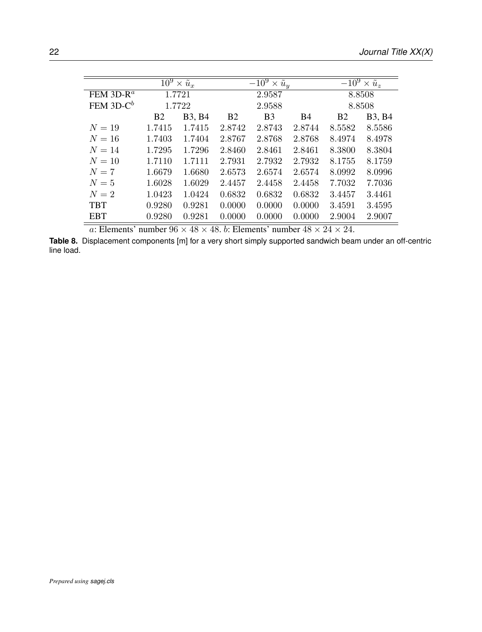|                                    |                  | $\overline{10^9 \times \tilde{u}_x}$ |           | $\overline{-10^9 \times u}_y$ |           |           | $\overline{-10^9 \times \tilde{u}_z}$ |  |
|------------------------------------|------------------|--------------------------------------|-----------|-------------------------------|-----------|-----------|---------------------------------------|--|
| FEM 3D-R <sup><math>a</math></sup> |                  | 1.7721                               |           | 2.9587                        |           | 8.8508    |                                       |  |
| FEM $3D-C^b$                       |                  | 1.7722                               |           | 2.9588                        |           |           | 8.8508                                |  |
|                                    | <b>B2</b>        | <b>B3, B4</b>                        | <b>B2</b> | <b>B</b> <sub>3</sub>         | <b>B4</b> | <b>B2</b> | <b>B3</b> , <b>B4</b>                 |  |
| $N=19$                             | 1.7415           | 1.7415                               | 2.8742    | 2.8743                        | 2.8744    | 8.5582    | 8.5586                                |  |
| $N=16$                             | 1.7403           | 1.7404                               | 2.8767    | 2.8768                        | 2.8768    | 8.4974    | 8.4978                                |  |
| $N=14$                             | 1.7295           | 1.7296                               | 2.8460    | 2.8461                        | 2.8461    | 8.3800    | 8.3804                                |  |
| $N=10$                             | 1.7110           | 1.7111                               | 2.7931    | 2.7932                        | 2.7932    | 8.1755    | 8.1759                                |  |
| $N=7$                              | 1.6679           | 1.6680                               | 2.6573    | 2.6574                        | 2.6574    | 8.0992    | 8.0996                                |  |
| $N=5$                              | 1.6028           | 1.6029                               | 2.4457    | 2.4458                        | 2.4458    | 7.7032    | 7.7036                                |  |
| $N=2$                              | 1.0423           | 1.0424                               | 0.6832    | 0.6832                        | 0.6832    | 3.4457    | 3.4461                                |  |
| <b>TBT</b>                         | 0.9280<br>0.9281 |                                      | 0.0000    | 0.0000                        | 0.0000    | 3.4591    | 3.4595                                |  |
| <b>EBT</b>                         | 0.9280           | 0.9281                               | 0.0000    | 0.0000                        | 0.0000    | 2.9004    | 2.9007                                |  |

**Table 8.** Displacement components [m] for a very short simply supported sandwich beam under an off-centric line load.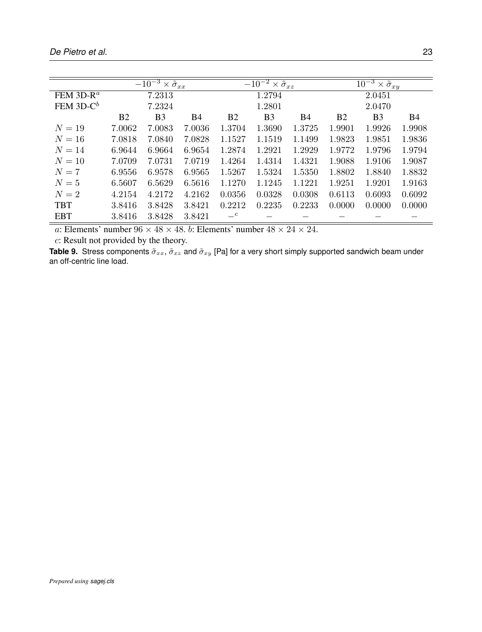|              |                | $\overline{-10^{-3} \times \tilde{\sigma}_{xx}}$ |           |           | $\overline{-10^{-2} \times \tilde{\sigma}_{xz}}$ |           |           | $\overline{10^{-3} \times \tilde{\sigma}_{xy}}$ |           |  |  |
|--------------|----------------|--------------------------------------------------|-----------|-----------|--------------------------------------------------|-----------|-----------|-------------------------------------------------|-----------|--|--|
| FEM $3D-R^a$ |                | 7.2313                                           |           |           | 1.2794                                           |           |           | 2.0451                                          |           |  |  |
| FEM $3D-C^b$ |                | 7.2324                                           |           |           | 1.2801                                           |           |           | 2.0470                                          |           |  |  |
|              | B <sub>2</sub> | <b>B</b> <sub>3</sub>                            | <b>B4</b> | <b>B2</b> | B <sub>3</sub>                                   | <b>B4</b> | <b>B2</b> | B <sub>3</sub>                                  | <b>B4</b> |  |  |
| $N=19$       | 7.0062         | 7.0083                                           | 7.0036    | 1.3704    | 1.3690                                           | 1.3725    | 1.9901    | 1.9926                                          | 1.9908    |  |  |
| $N=16$       | 7.0818         | 7.0840                                           | 7.0828    | 1.1527    | 1.1519                                           | 1.1499    | 1.9823    | 1.9851                                          | 1.9836    |  |  |
| $N = 14$     | 6.9644         | 6.9664                                           | 6.9654    | 1.2874    | 1.2921                                           | 1.2929    | 1.9772    | 1.9796                                          | 1.9794    |  |  |
| $N=10$       | 7.0709         | 7.0731                                           | 7.0719    | 1.4264    | 1.4314                                           | 1.4321    | 1.9088    | 1.9106                                          | 1.9087    |  |  |
| $N=7$        | 6.9556         | 6.9578                                           | 6.9565    | 1.5267    | 1.5324                                           | 1.5350    | 1.8802    | 1.8840                                          | 1.8832    |  |  |
| $N=5$        | 6.5607         | 6.5629                                           | 6.5616    | 1.1270    | 1.1245                                           | 1.1221    | 1.9251    | 1.9201                                          | 1.9163    |  |  |
| $N=2$        | 4.2154         | 4.2172                                           | 4.2162    | 0.0356    | 0.0328                                           | 0.0308    | 0.6113    | 0.6093                                          | 0.6092    |  |  |
| <b>TBT</b>   | 3.8416         | 3.8428                                           | 3.8421    | 0.2212    | 0.2235                                           | 0.2233    | 0.0000    | 0.0000                                          | 0.0000    |  |  |
| <b>EBT</b>   | 3.8416         | 3.8428                                           | 3.8421    | $-c$      |                                                  |           |           |                                                 |           |  |  |

c: Result not provided by the theory.

**Table 9.** Stress components  $\tilde{\sigma}_{xx}$ ,  $\tilde{\sigma}_{xz}$  and  $\tilde{\sigma}_{xy}$  [Pa] for a very short simply supported sandwich beam under an off-centric line load.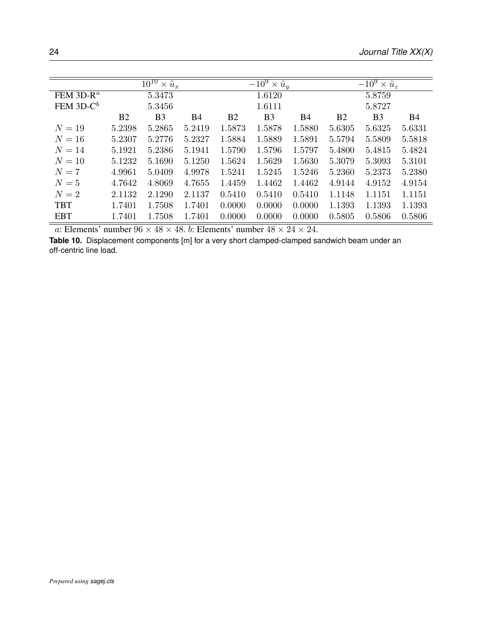|              |                | $10^{10}$<br>$\times \tilde{u}_x$ |           |           | $\overline{-10^9 \times \tilde{u}_y}$ |            |           | $-10^9 \times \tilde{u}_z$ |           |  |
|--------------|----------------|-----------------------------------|-----------|-----------|---------------------------------------|------------|-----------|----------------------------|-----------|--|
| FEM $3D-R^a$ |                | 5.3473                            |           |           | 1.6120                                |            | 5.8759    |                            |           |  |
| FEM $3D-C^b$ |                | 5.3456                            |           |           | 1.6111                                |            |           | 5.8727                     |           |  |
|              | B <sub>2</sub> | <b>B</b> <sub>3</sub>             | <b>B4</b> | <b>B2</b> | B <sub>3</sub>                        | <b>B</b> 4 | <b>B2</b> | B <sub>3</sub>             | <b>B4</b> |  |
| $N=19$       | 5.2398         | 5.2865                            | 5.2419    | 1.5873    | 1.5878                                | 1.5880     | 5.6305    | 5.6325                     | 5.6331    |  |
| $N=16$       | 5.2307         | 5.2776                            | 5.2327    | 1.5884    | 1.5889                                | 1.5891     | 5.5794    | 5.5809                     | 5.5818    |  |
| $N = 14$     | 5.1921         | 5.2386                            | 5.1941    | 1.5790    | 1.5796                                | 1.5797     | 5.4800    | 5.4815                     | 5.4824    |  |
| $N=10$       | 5.1232         | 5.1690                            | 5.1250    | 1.5624    | 1.5629                                | 1.5630     | 5.3079    | 5.3093                     | 5.3101    |  |
| $N=7$        | 4.9961         | 5.0409                            | 4.9978    | 1.5241    | 1.5245                                | 1.5246     | 5.2360    | 5.2373                     | 5.2380    |  |
| $N=5$        | 4.7642         | 4.8069                            | 4.7655    | 1.4459    | 1.4462                                | 1.4462     | 4.9144    | 4.9152                     | 4.9154    |  |
| $N=2$        | 2.1132         | 2.1290                            | 2.1137    | 0.5410    | 0.5410                                | 0.5410     | 1.1148    | 1.1151                     | 1.1151    |  |
| <b>TBT</b>   | 1.7401         | 1.7508                            | 1.7401    | 0.0000    | 0.0000                                | 0.0000     | 1.1393    | 1.1393                     | 1.1393    |  |
| <b>EBT</b>   | 1.7401         | 1.7508                            | 1.7401    | 0.0000    | 0.0000                                | 0.0000     | 0.5805    | 0.5806                     | 0.5806    |  |

**Table 10.** Displacement components [m] for a very short clamped-clamped sandwich beam under an off-centric line load.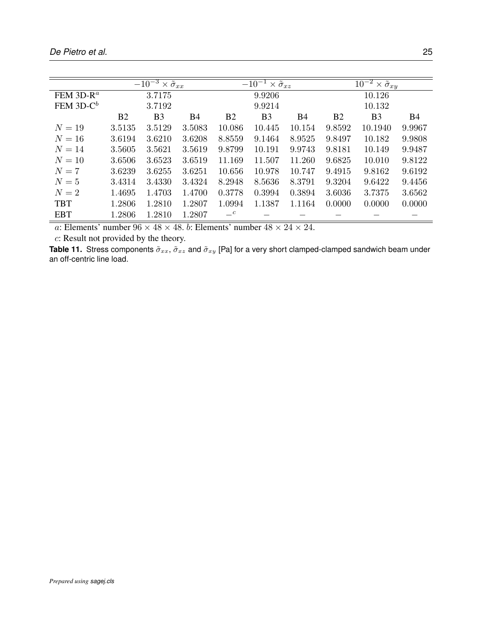|                                    |                | $\overline{-10^{-3} \times \tilde{\sigma}_{xx}}$ |        |                | $-10^{-1} \times \tilde{\sigma}_{xz}$ |           | $\overline{10^{-2} \times \tilde{\sigma}_{xy}}$ |                |        |  |
|------------------------------------|----------------|--------------------------------------------------|--------|----------------|---------------------------------------|-----------|-------------------------------------------------|----------------|--------|--|
| FEM 3D-R <sup><math>a</math></sup> | 3.7175         |                                                  |        |                | 9.9206                                |           |                                                 | 10.126         |        |  |
| FEM $3D-C^b$                       |                | 3.7192                                           |        |                | 9.9214                                |           |                                                 | 10.132         |        |  |
|                                    | B <sub>2</sub> | B <sub>3</sub>                                   | Β4     | B <sub>2</sub> | B <sub>3</sub>                        | <b>B4</b> | B <sub>2</sub>                                  | B <sub>3</sub> | B4     |  |
| $N=19$                             | 3.5135         | 3.5129                                           | 3.5083 | 10.086         | 10.445                                | 10.154    | 9.8592                                          | 10.1940        | 9.9967 |  |
| $N=16$                             | 3.6194         | 3.6210                                           | 3.6208 | 8.8559         | 9.1464                                | 8.9525    | 9.8497                                          | 10.182         | 9.9808 |  |
| $N = 14$                           | 3.5605         | 3.5621                                           | 3.5619 | 9.8799         | 10.191                                | 9.9743    | 9.8181                                          | 10.149         | 9.9487 |  |
| $N=10$                             | 3.6506         | 3.6523                                           | 3.6519 | 11.169         | 11.507                                | 11.260    | 9.6825                                          | 10.010         | 9.8122 |  |
| $N=7$                              | 3.6239         | 3.6255                                           | 3.6251 | 10.656         | 10.978                                | 10.747    | 9.4915                                          | 9.8162         | 9.6192 |  |
| $N=5$                              | 3.4314         | 3.4330                                           | 3.4324 | 8.2948         | 8.5636                                | 8.3791    | 9.3204                                          | 9.6422         | 9.4456 |  |
| $N=2$                              | 1.4695         | 1.4703                                           | 1.4700 | 0.3778         | 0.3994                                | 0.3894    | 3.6036                                          | 3.7375         | 3.6562 |  |
| <b>TBT</b>                         | 1.2806         | 1.2810                                           | 1.2807 | 1.0994         | 1.1387                                | 1.1164    | 0.0000                                          | 0.0000         | 0.0000 |  |
| <b>EBT</b>                         | 1.2806         | 1.2810                                           | 1.2807 | $-c$           |                                       |           |                                                 |                |        |  |

c: Result not provided by the theory.

**Table 11.** Stress components  $\tilde{\sigma}_{xx}$ ,  $\tilde{\sigma}_{xz}$  and  $\tilde{\sigma}_{xy}$  [Pa] for a very short clamped-clamped sandwich beam under an off-centric line load.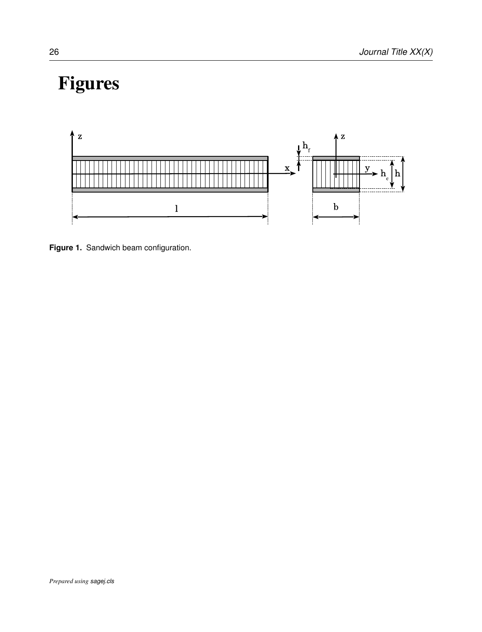# Figures



**Figure 1.** Sandwich beam configuration.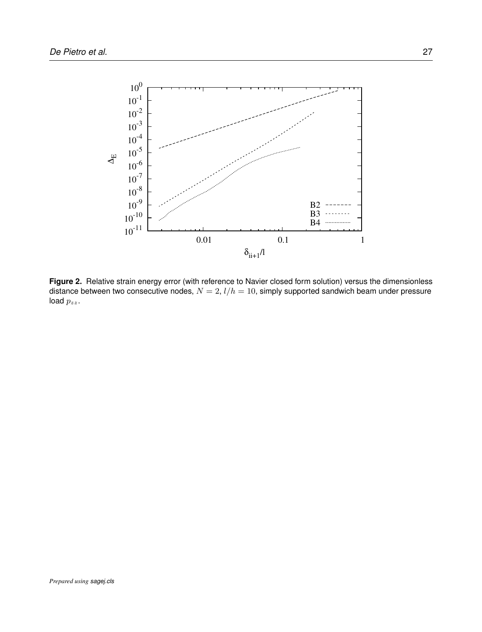

**Figure 2.** Relative strain energy error (with reference to Navier closed form solution) versus the dimensionless distance between two consecutive nodes,  $N = 2$ ,  $l/h = 10$ , simply supported sandwich beam under pressure load  $p_{zz}$ .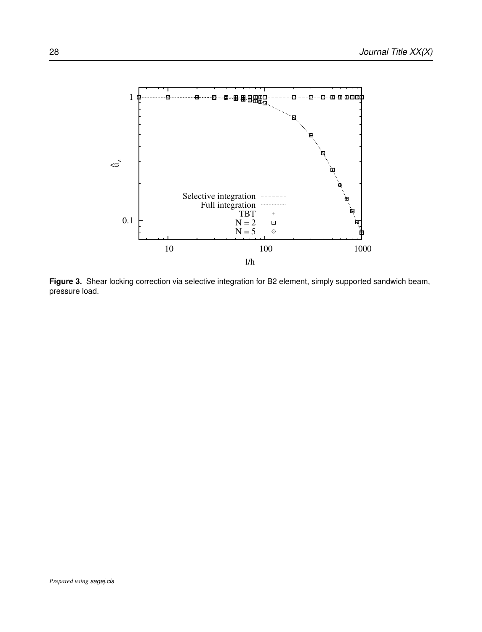

**Figure 3.** Shear locking correction via selective integration for B2 element, simply supported sandwich beam, pressure load.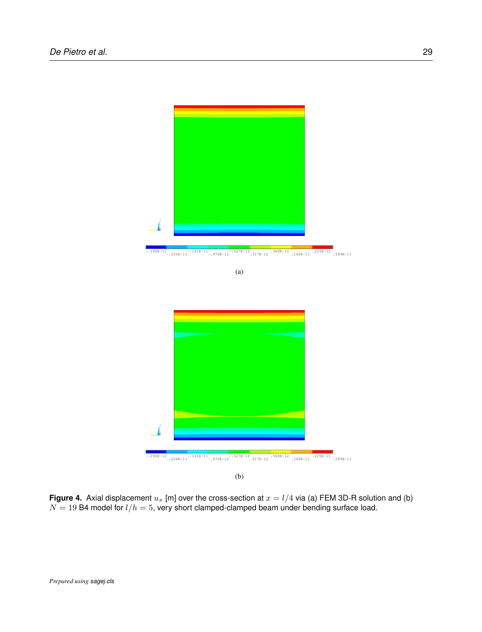

-.290E-11 -.226E-11 -.161E-11 -.970E-12 -.327E-12 .317E-12 .960E-12 .160E-11 .225E-11 .289E-11



(b)

**Figure 4.** Axial displacement  $u_x$  [m] over the cross-section at  $x = l/4$  via (a) FEM 3D-R solution and (b)  $N = 19$  B4 model for  $l/h = 5$ , very short clamped-clamped beam under bending surface load.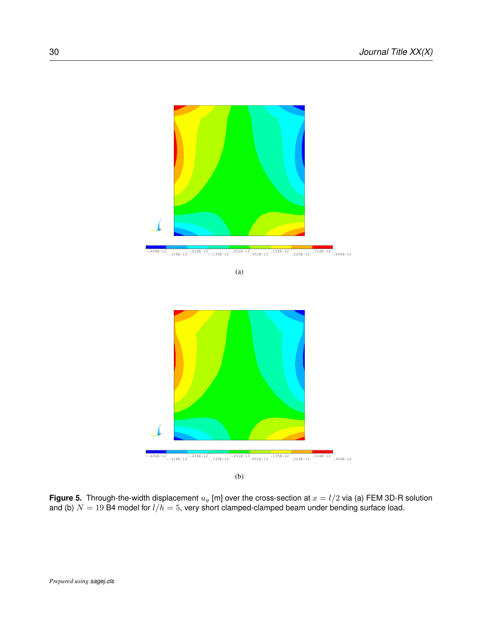



(b)

**Figure 5.** Through-the-width displacement  $u_y$  [m] over the cross-section at  $x = l/2$  via (a) FEM 3D-R solution and (b)  $N=19$  B4 model for  $l/h=5$ , very short clamped-clamped beam under bending surface load.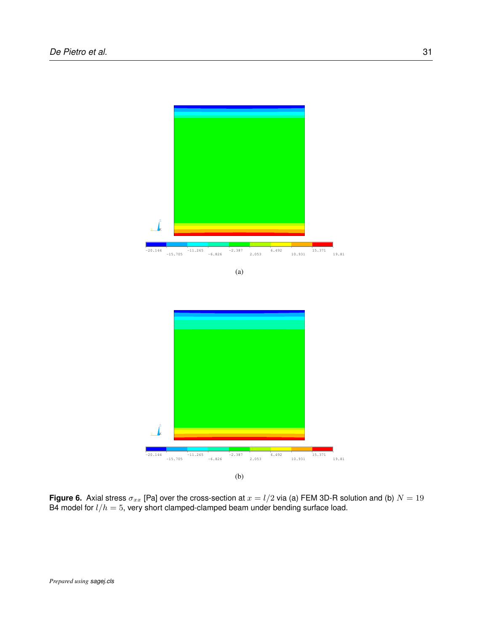

**Figure 6.** Axial stress  $\sigma_{xx}$  [Pa] over the cross-section at  $x = l/2$  via (a) FEM 3D-R solution and (b)  $N = 19$ B4 model for  $l/h = 5$ , very short clamped-clamped beam under bending surface load.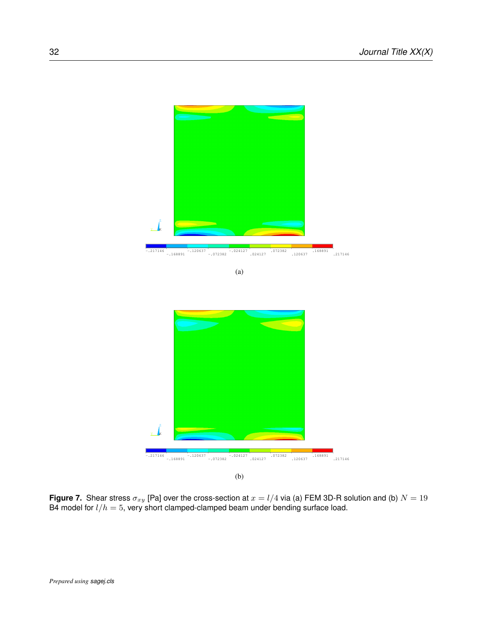



**Figure 7.** Shear stress  $\sigma_{xy}$  [Pa] over the cross-section at  $x=l/4$  via (a) FEM 3D-R solution and (b)  $N=19$ B4 model for  $l/h = 5$ , very short clamped-clamped beam under bending surface load.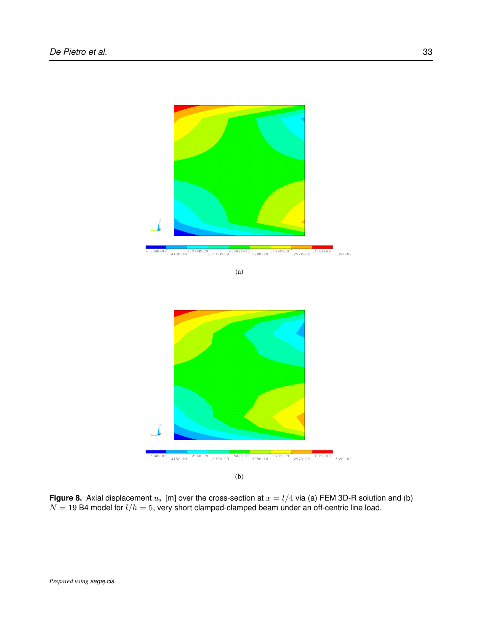

-.534E-09 -.415E-09 -.296E-09 -.178E-09 -.589E-10 .599E-10 .179E-09 .297E-09 .416E-09 .535E-09



(b)

**Figure 8.** Axial displacement  $u_x$  [m] over the cross-section at  $x = l/4$  via (a) FEM 3D-R solution and (b)  $N = 19$  B4 model for  $l/h = 5$ , very short clamped-clamped beam under an off-centric line load.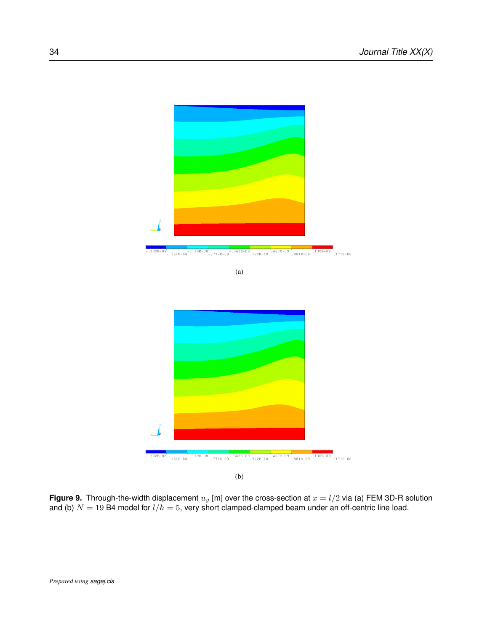

-.202E-08 -.161E-08 -.119E-08 -.777E-09 -.362E-09 .522E-10 .467E-09 .881E-09 .130E-08 .171E-08



(b)

**Figure 9.** Through-the-width displacement  $u_y$  [m] over the cross-section at  $x = l/2$  via (a) FEM 3D-R solution and (b)  $N=19$  B4 model for  $l/h=5,$  very short clamped-clamped beam under an off-centric line load.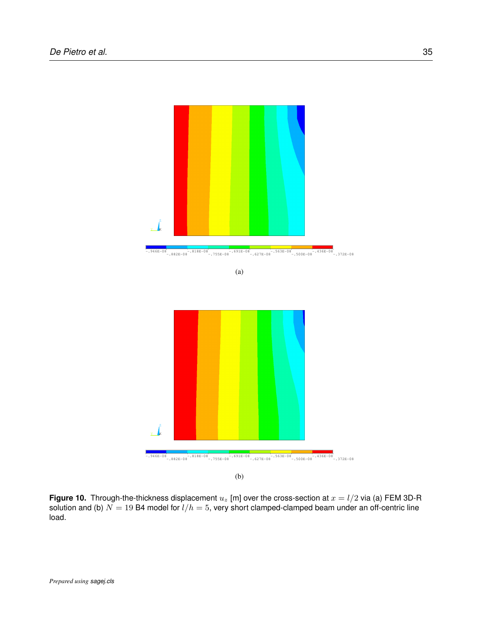



(b)

**Figure 10.** Through-the-thickness displacement  $u_z$  [m] over the cross-section at  $x = l/2$  via (a) FEM 3D-R solution and (b)  $N = 19$  B4 model for  $l/h = 5$ , very short clamped-clamped beam under an off-centric line load.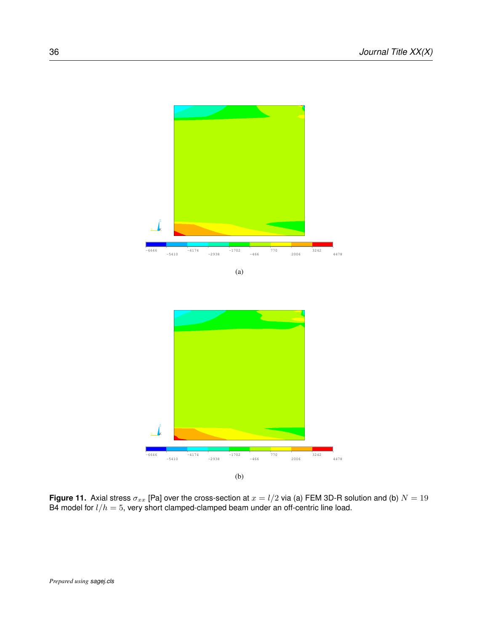

**Figure 11.** Axial stress  $\sigma_{xx}$  [Pa] over the cross-section at  $x=l/2$  via (a) FEM 3D-R solution and (b)  $N=19$ B4 model for  $l/h=5$ , very short clamped-clamped beam under an off-centric line load.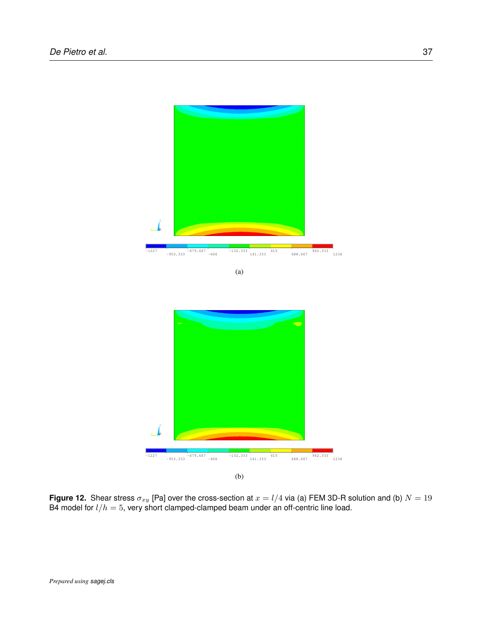

**Figure 12.** Shear stress  $\sigma_{xy}$  [Pa] over the cross-section at  $x = l/4$  via (a) FEM 3D-R solution and (b)  $N = 19$ B4 model for  $l/h=5$ , very short clamped-clamped beam under an off-centric line load.